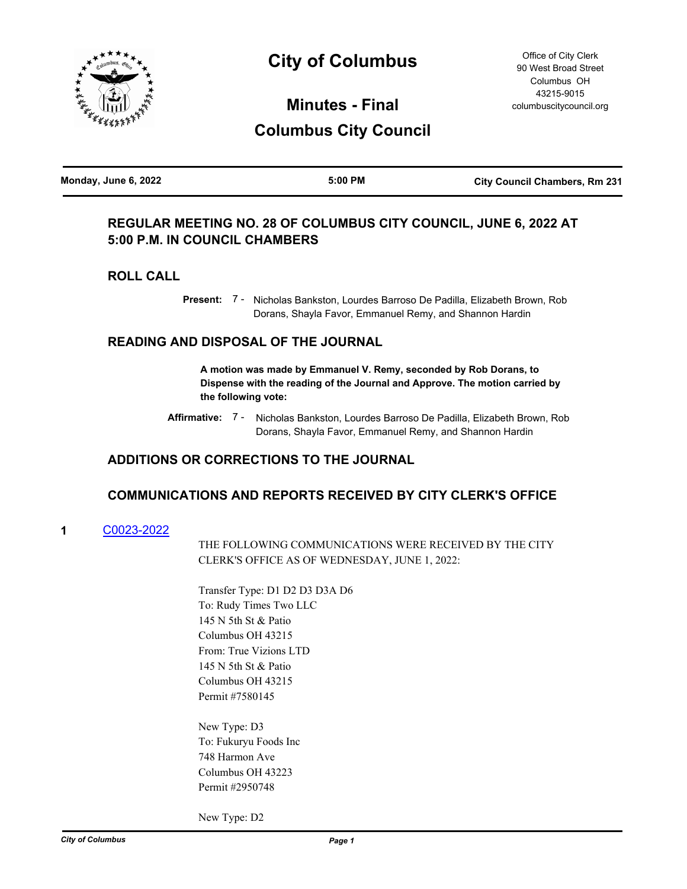

# **City of Columbus**

Office of City Clerk 90 West Broad Street Columbus OH 43215-9015 columbuscitycouncil.org

# **Minutes - Final Columbus City Council**

| Monday, June 6, 2022<br>5:00 PM | <b>City Council Chambers, Rm 231</b> |
|---------------------------------|--------------------------------------|
|---------------------------------|--------------------------------------|

## **REGULAR MEETING NO. 28 OF COLUMBUS CITY COUNCIL, JUNE 6, 2022 AT 5:00 P.M. IN COUNCIL CHAMBERS**

**ROLL CALL**

Present: 7 - Nicholas Bankston, Lourdes Barroso De Padilla, Elizabeth Brown, Rob Dorans, Shayla Favor, Emmanuel Remy, and Shannon Hardin

## **READING AND DISPOSAL OF THE JOURNAL**

**A motion was made by Emmanuel V. Remy, seconded by Rob Dorans, to Dispense with the reading of the Journal and Approve. The motion carried by the following vote:**

Affirmative: 7 - Nicholas Bankston, Lourdes Barroso De Padilla, Elizabeth Brown, Rob Dorans, Shayla Favor, Emmanuel Remy, and Shannon Hardin

## **ADDITIONS OR CORRECTIONS TO THE JOURNAL**

## **COMMUNICATIONS AND REPORTS RECEIVED BY CITY CLERK'S OFFICE**

**1** [C0023-2022](http://columbus.legistar.com/gateway.aspx?m=l&id=/matter.aspx?key=123152)

THE FOLLOWING COMMUNICATIONS WERE RECEIVED BY THE CITY CLERK'S OFFICE AS OF WEDNESDAY, JUNE 1, 2022:

Transfer Type: D1 D2 D3 D3A D6 To: Rudy Times Two LLC 145 N 5th St & Patio Columbus OH 43215 From: True Vizions LTD 145 N 5th St & Patio Columbus OH 43215 Permit #7580145

New Type: D3 To: Fukuryu Foods Inc 748 Harmon Ave Columbus OH 43223 Permit #2950748

New Type: D2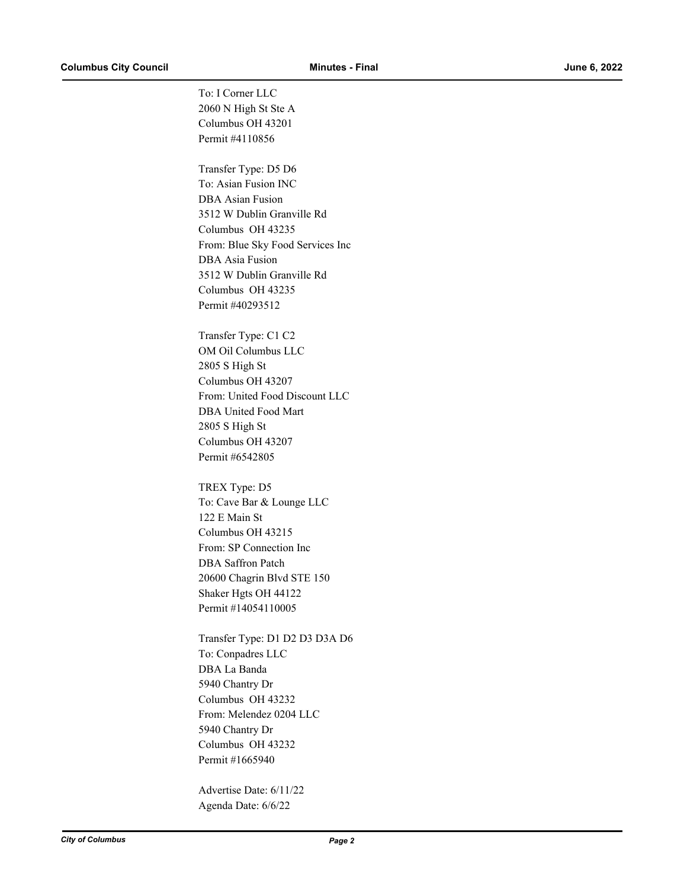To: I Corner LLC 2060 N High St Ste A Columbus OH 43201 Permit #4110856

Transfer Type: D5 D6 To: Asian Fusion INC DBA Asian Fusion 3512 W Dublin Granville Rd Columbus OH 43235 From: Blue Sky Food Services Inc DBA Asia Fusion 3512 W Dublin Granville Rd Columbus OH 43235 Permit #40293512

Transfer Type: C1 C2 OM Oil Columbus LLC 2805 S High St Columbus OH 43207 From: United Food Discount LLC DBA United Food Mart 2805 S High St Columbus OH 43207 Permit #6542805

TREX Type: D5 To: Cave Bar & Lounge LLC 122 E Main St Columbus OH 43215 From: SP Connection Inc DBA Saffron Patch 20600 Chagrin Blvd STE 150 Shaker Hgts OH 44122 Permit #14054110005

Transfer Type: D1 D2 D3 D3A D6 To: Conpadres LLC DBA La Banda 5940 Chantry Dr Columbus OH 43232 From: Melendez 0204 LLC 5940 Chantry Dr Columbus OH 43232 Permit #1665940

Advertise Date: 6/11/22 Agenda Date: 6/6/22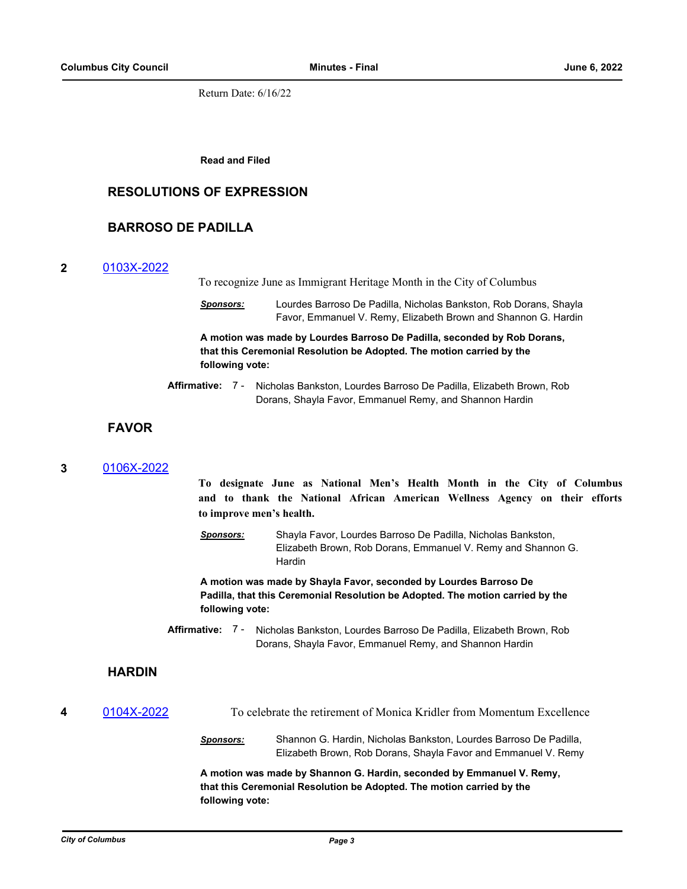Return Date: 6/16/22

**Read and Filed**

## **RESOLUTIONS OF EXPRESSION**

## **BARROSO DE PADILLA**

#### **2** [0103X-2022](http://columbus.legistar.com/gateway.aspx?m=l&id=/matter.aspx?key=123135)

To recognize June as Immigrant Heritage Month in the City of Columbus

*Sponsors:* Lourdes Barroso De Padilla, Nicholas Bankston, Rob Dorans, Shayla Favor, Emmanuel V. Remy, Elizabeth Brown and Shannon G. Hardin

**A motion was made by Lourdes Barroso De Padilla, seconded by Rob Dorans, that this Ceremonial Resolution be Adopted. The motion carried by the following vote:**

Affirmative: 7 - Nicholas Bankston, Lourdes Barroso De Padilla, Elizabeth Brown, Rob Dorans, Shayla Favor, Emmanuel Remy, and Shannon Hardin

## **FAVOR**

**3** [0106X-2022](http://columbus.legistar.com/gateway.aspx?m=l&id=/matter.aspx?key=123173)

**To designate June as National Men's Health Month in the City of Columbus and to thank the National African American Wellness Agency on their efforts to improve men's health.**

*Sponsors:* Shayla Favor, Lourdes Barroso De Padilla, Nicholas Bankston, Elizabeth Brown, Rob Dorans, Emmanuel V. Remy and Shannon G. Hardin

**A motion was made by Shayla Favor, seconded by Lourdes Barroso De Padilla, that this Ceremonial Resolution be Adopted. The motion carried by the following vote:**

Affirmative: 7 - Nicholas Bankston, Lourdes Barroso De Padilla, Elizabeth Brown, Rob Dorans, Shayla Favor, Emmanuel Remy, and Shannon Hardin

## **HARDIN**

**4** [0104X-2022](http://columbus.legistar.com/gateway.aspx?m=l&id=/matter.aspx?key=123165) To celebrate the retirement of Monica Kridler from Momentum Excellence *Sponsors:* Shannon G. Hardin, Nicholas Bankston, Lourdes Barroso De Padilla, Elizabeth Brown, Rob Dorans, Shayla Favor and Emmanuel V. Remy

> **A motion was made by Shannon G. Hardin, seconded by Emmanuel V. Remy, that this Ceremonial Resolution be Adopted. The motion carried by the following vote:**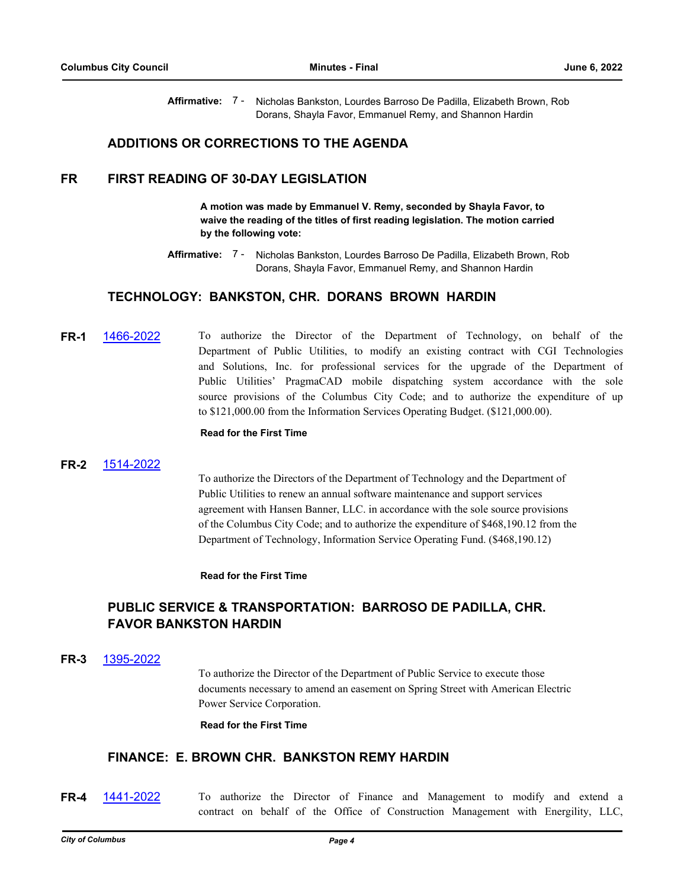**Affirmative:** Nicholas Bankston, Lourdes Barroso De Padilla, Elizabeth Brown, Rob Dorans, Shayla Favor, Emmanuel Remy, and Shannon Hardin Affirmative: 7 -

## **ADDITIONS OR CORRECTIONS TO THE AGENDA**

## **FR FIRST READING OF 30-DAY LEGISLATION**

**A motion was made by Emmanuel V. Remy, seconded by Shayla Favor, to waive the reading of the titles of first reading legislation. The motion carried by the following vote:**

## **TECHNOLOGY: BANKSTON, CHR. DORANS BROWN HARDIN**

## **FR-1** [1466-2022](http://columbus.legistar.com/gateway.aspx?m=l&id=/matter.aspx?key=122983) To authorize the Director of the Department of Technology, on behalf of the Department of Public Utilities, to modify an existing contract with CGI Technologies and Solutions, Inc. for professional services for the upgrade of the Department of Public Utilities' PragmaCAD mobile dispatching system accordance with the sole source provisions of the Columbus City Code; and to authorize the expenditure of up to \$121,000.00 from the Information Services Operating Budget. (\$121,000.00).

#### **Read for the First Time**

#### **FR-2** [1514-2022](http://columbus.legistar.com/gateway.aspx?m=l&id=/matter.aspx?key=123032)

To authorize the Directors of the Department of Technology and the Department of Public Utilities to renew an annual software maintenance and support services agreement with Hansen Banner, LLC. in accordance with the sole source provisions of the Columbus City Code; and to authorize the expenditure of \$468,190.12 from the Department of Technology, Information Service Operating Fund. (\$468,190.12)

#### **Read for the First Time**

## **PUBLIC SERVICE & TRANSPORTATION: BARROSO DE PADILLA, CHR. FAVOR BANKSTON HARDIN**

#### **FR-3** [1395-2022](http://columbus.legistar.com/gateway.aspx?m=l&id=/matter.aspx?key=122912)

To authorize the Director of the Department of Public Service to execute those documents necessary to amend an easement on Spring Street with American Electric Power Service Corporation.

**Read for the First Time**

## **FINANCE: E. BROWN CHR. BANKSTON REMY HARDIN**

**FR-4** [1441-2022](http://columbus.legistar.com/gateway.aspx?m=l&id=/matter.aspx?key=122958) To authorize the Director of Finance and Management to modify and extend a contract on behalf of the Office of Construction Management with Energility, LLC,

Affirmative: 7 - Nicholas Bankston, Lourdes Barroso De Padilla, Elizabeth Brown, Rob Dorans, Shayla Favor, Emmanuel Remy, and Shannon Hardin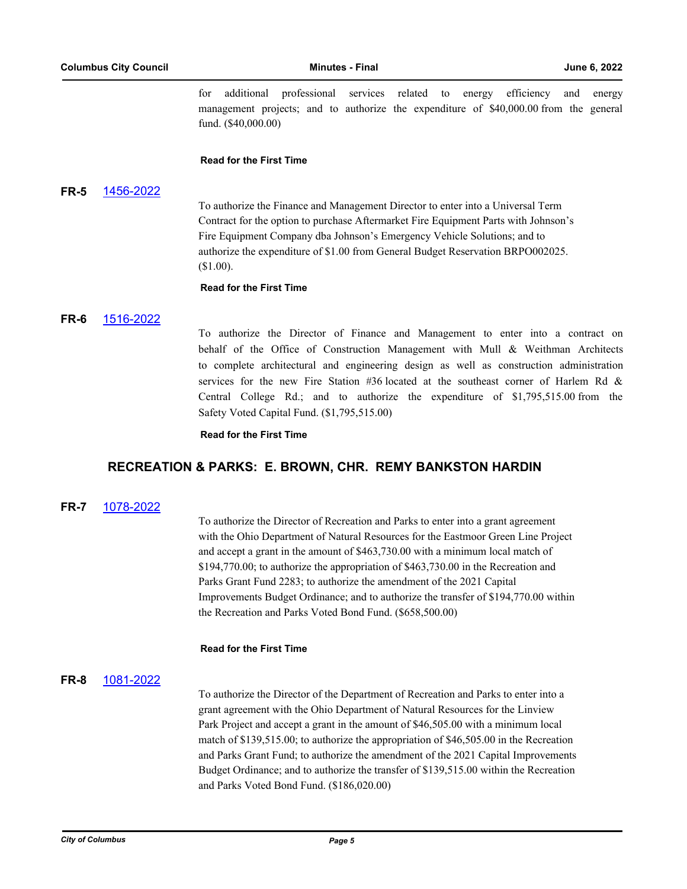for additional professional services related to energy efficiency and energy management projects; and to authorize the expenditure of \$40,000.00 from the general fund. (\$40,000.00)

#### **Read for the First Time**

## **FR-5** [1456-2022](http://columbus.legistar.com/gateway.aspx?m=l&id=/matter.aspx?key=122973)

To authorize the Finance and Management Director to enter into a Universal Term Contract for the option to purchase Aftermarket Fire Equipment Parts with Johnson's Fire Equipment Company dba Johnson's Emergency Vehicle Solutions; and to authorize the expenditure of \$1.00 from General Budget Reservation BRPO002025. (\$1.00).

#### **Read for the First Time**

#### **FR-6** [1516-2022](http://columbus.legistar.com/gateway.aspx?m=l&id=/matter.aspx?key=123034)

To authorize the Director of Finance and Management to enter into a contract on behalf of the Office of Construction Management with Mull & Weithman Architects to complete architectural and engineering design as well as construction administration services for the new Fire Station #36 located at the southeast corner of Harlem Rd & Central College Rd.; and to authorize the expenditure of \$1,795,515.00 from the Safety Voted Capital Fund. (\$1,795,515.00)

#### **Read for the First Time**

## **RECREATION & PARKS: E. BROWN, CHR. REMY BANKSTON HARDIN**

#### **FR-7** [1078-2022](http://columbus.legistar.com/gateway.aspx?m=l&id=/matter.aspx?key=122592)

To authorize the Director of Recreation and Parks to enter into a grant agreement with the Ohio Department of Natural Resources for the Eastmoor Green Line Project and accept a grant in the amount of \$463,730.00 with a minimum local match of \$194,770.00; to authorize the appropriation of \$463,730.00 in the Recreation and Parks Grant Fund 2283; to authorize the amendment of the 2021 Capital Improvements Budget Ordinance; and to authorize the transfer of \$194,770.00 within the Recreation and Parks Voted Bond Fund. (\$658,500.00)

#### **Read for the First Time**

#### **FR-8** [1081-2022](http://columbus.legistar.com/gateway.aspx?m=l&id=/matter.aspx?key=122595)

To authorize the Director of the Department of Recreation and Parks to enter into a grant agreement with the Ohio Department of Natural Resources for the Linview Park Project and accept a grant in the amount of \$46,505.00 with a minimum local match of \$139,515.00; to authorize the appropriation of \$46,505.00 in the Recreation and Parks Grant Fund; to authorize the amendment of the 2021 Capital Improvements Budget Ordinance; and to authorize the transfer of \$139,515.00 within the Recreation and Parks Voted Bond Fund. (\$186,020.00)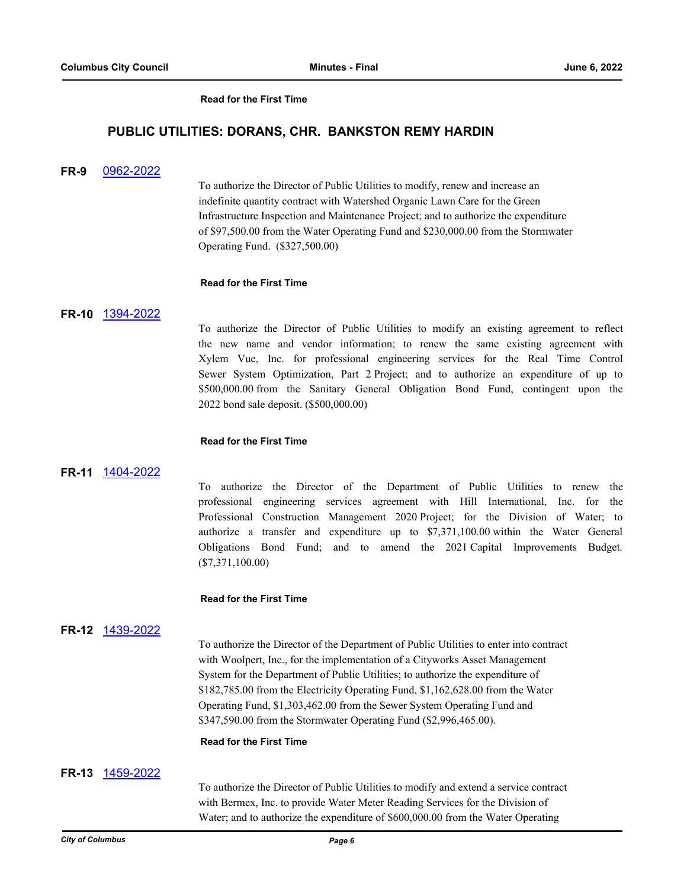#### **Read for the First Time**

### **PUBLIC UTILITIES: DORANS, CHR. BANKSTON REMY HARDIN**

#### **FR-9** [0962-2022](http://columbus.legistar.com/gateway.aspx?m=l&id=/matter.aspx?key=122474)

To authorize the Director of Public Utilities to modify, renew and increase an indefinite quantity contract with Watershed Organic Lawn Care for the Green Infrastructure Inspection and Maintenance Project; and to authorize the expenditure of \$97,500.00 from the Water Operating Fund and \$230,000.00 from the Stormwater Operating Fund. (\$327,500.00)

#### **Read for the First Time**

#### **FR-10** [1394-2022](http://columbus.legistar.com/gateway.aspx?m=l&id=/matter.aspx?key=122911)

To authorize the Director of Public Utilities to modify an existing agreement to reflect the new name and vendor information; to renew the same existing agreement with Xylem Vue, Inc. for professional engineering services for the Real Time Control Sewer System Optimization, Part 2 Project; and to authorize an expenditure of up to \$500,000.00 from the Sanitary General Obligation Bond Fund, contingent upon the 2022 bond sale deposit. (\$500,000.00)

#### **Read for the First Time**

#### **FR-11** [1404-2022](http://columbus.legistar.com/gateway.aspx?m=l&id=/matter.aspx?key=122921)

To authorize the Director of the Department of Public Utilities to renew the professional engineering services agreement with Hill International, Inc. for the Professional Construction Management 2020 Project; for the Division of Water; to authorize a transfer and expenditure up to \$7,371,100.00 within the Water General Obligations Bond Fund; and to amend the 2021 Capital Improvements Budget. (\$7,371,100.00)

#### **Read for the First Time**

#### **FR-12** [1439-2022](http://columbus.legistar.com/gateway.aspx?m=l&id=/matter.aspx?key=122956)

To authorize the Director of the Department of Public Utilities to enter into contract with Woolpert, Inc., for the implementation of a Cityworks Asset Management System for the Department of Public Utilities; to authorize the expenditure of \$182,785.00 from the Electricity Operating Fund, \$1,162,628.00 from the Water Operating Fund, \$1,303,462.00 from the Sewer System Operating Fund and \$347,590.00 from the Stormwater Operating Fund (\$2,996,465.00).

### **Read for the First Time**

### **FR-13** [1459-2022](http://columbus.legistar.com/gateway.aspx?m=l&id=/matter.aspx?key=122976)

To authorize the Director of Public Utilities to modify and extend a service contract with Bermex, Inc. to provide Water Meter Reading Services for the Division of Water; and to authorize the expenditure of \$600,000.00 from the Water Operating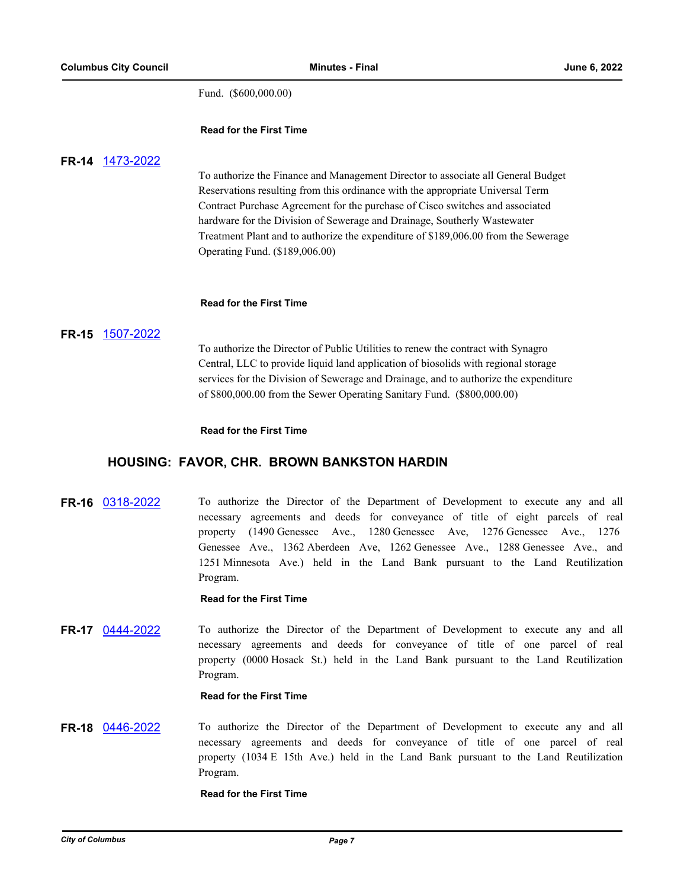Fund. (\$600,000.00)

### **Read for the First Time**

### **FR-14** [1473-2022](http://columbus.legistar.com/gateway.aspx?m=l&id=/matter.aspx?key=122990)

To authorize the Finance and Management Director to associate all General Budget Reservations resulting from this ordinance with the appropriate Universal Term Contract Purchase Agreement for the purchase of Cisco switches and associated hardware for the Division of Sewerage and Drainage, Southerly Wastewater Treatment Plant and to authorize the expenditure of \$189,006.00 from the Sewerage Operating Fund. (\$189,006.00)

#### **Read for the First Time**

### **FR-15** [1507-2022](http://columbus.legistar.com/gateway.aspx?m=l&id=/matter.aspx?key=123025)

To authorize the Director of Public Utilities to renew the contract with Synagro Central, LLC to provide liquid land application of biosolids with regional storage services for the Division of Sewerage and Drainage, and to authorize the expenditure of \$800,000.00 from the Sewer Operating Sanitary Fund. (\$800,000.00)

#### **Read for the First Time**

## **HOUSING: FAVOR, CHR. BROWN BANKSTON HARDIN**

**FR-16** [0318-2022](http://columbus.legistar.com/gateway.aspx?m=l&id=/matter.aspx?key=121830) To authorize the Director of the Department of Development to execute any and all necessary agreements and deeds for conveyance of title of eight parcels of real property (1490 Genessee Ave., 1280 Genessee Ave, 1276 Genessee Ave., 1276 Genessee Ave., 1362 Aberdeen Ave, 1262 Genessee Ave., 1288 Genessee Ave., and 1251 Minnesota Ave.) held in the Land Bank pursuant to the Land Reutilization Program.

## **Read for the First Time**

**FR-17** [0444-2022](http://columbus.legistar.com/gateway.aspx?m=l&id=/matter.aspx?key=121956) To authorize the Director of the Department of Development to execute any and all necessary agreements and deeds for conveyance of title of one parcel of real property (0000 Hosack St.) held in the Land Bank pursuant to the Land Reutilization Program.

#### **Read for the First Time**

**FR-18** [0446-2022](http://columbus.legistar.com/gateway.aspx?m=l&id=/matter.aspx?key=121958) To authorize the Director of the Department of Development to execute any and all necessary agreements and deeds for conveyance of title of one parcel of real property (1034 E 15th Ave.) held in the Land Bank pursuant to the Land Reutilization Program.

#### **Read for the First Time**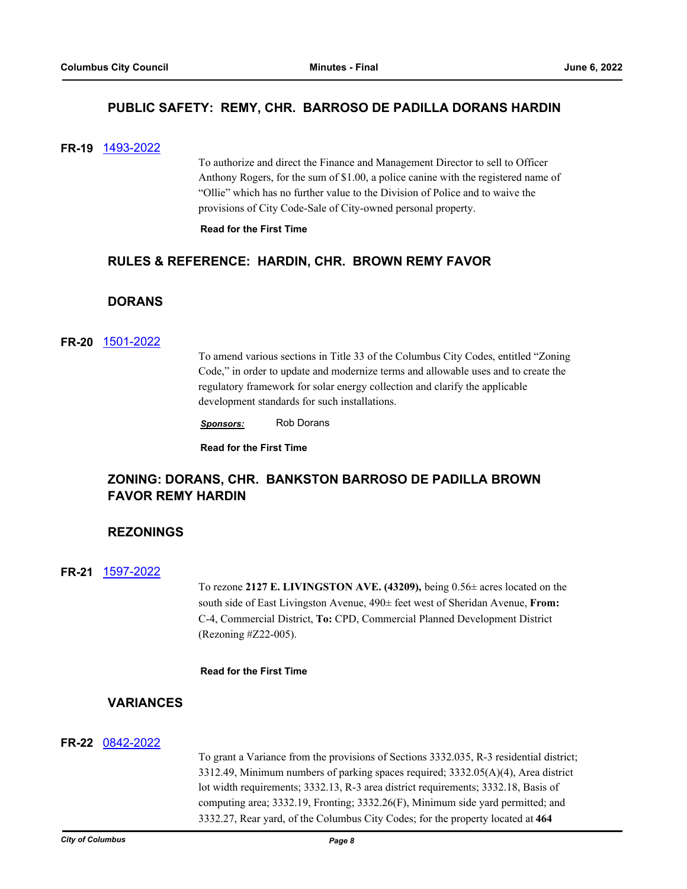## **PUBLIC SAFETY: REMY, CHR. BARROSO DE PADILLA DORANS HARDIN**

## **FR-19** [1493-2022](http://columbus.legistar.com/gateway.aspx?m=l&id=/matter.aspx?key=123011)

To authorize and direct the Finance and Management Director to sell to Officer Anthony Rogers, for the sum of \$1.00, a police canine with the registered name of "Ollie" which has no further value to the Division of Police and to waive the provisions of City Code-Sale of City-owned personal property.

### **Read for the First Time**

## **RULES & REFERENCE: HARDIN, CHR. BROWN REMY FAVOR**

## **DORANS**

### **FR-20** [1501-2022](http://columbus.legistar.com/gateway.aspx?m=l&id=/matter.aspx?key=123019)

To amend various sections in Title 33 of the Columbus City Codes, entitled "Zoning Code," in order to update and modernize terms and allowable uses and to create the regulatory framework for solar energy collection and clarify the applicable development standards for such installations.

*Sponsors:* Rob Dorans

**Read for the First Time**

## **ZONING: DORANS, CHR. BANKSTON BARROSO DE PADILLA BROWN FAVOR REMY HARDIN**

## **REZONINGS**

## **FR-21** [1597-2022](http://columbus.legistar.com/gateway.aspx?m=l&id=/matter.aspx?key=123117)

To rezone **2127 E. LIVINGSTON AVE. (43209),** being 0.56± acres located on the south side of East Livingston Avenue, 490± feet west of Sheridan Avenue, **From:** C-4, Commercial District, **To:** CPD, Commercial Planned Development District (Rezoning #Z22-005).

### **Read for the First Time**

## **VARIANCES**

## **FR-22** [0842-2022](http://columbus.legistar.com/gateway.aspx?m=l&id=/matter.aspx?key=122354)

To grant a Variance from the provisions of Sections 3332.035, R-3 residential district; 3312.49, Minimum numbers of parking spaces required; 3332.05(A)(4), Area district lot width requirements; 3332.13, R-3 area district requirements; 3332.18, Basis of computing area; 3332.19, Fronting; 3332.26(F), Minimum side yard permitted; and 3332.27, Rear yard, of the Columbus City Codes; for the property located at **464**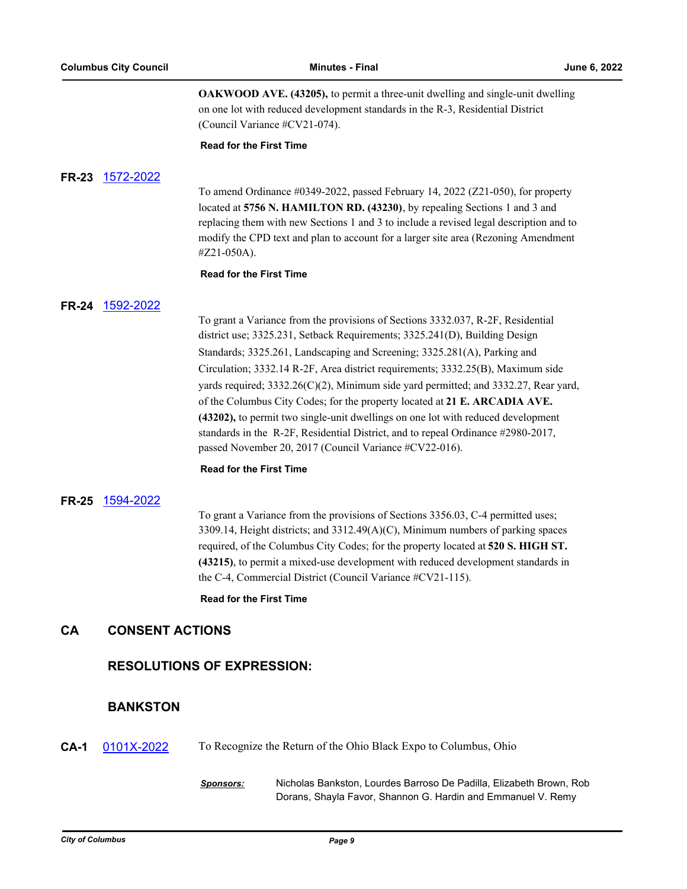**OAKWOOD AVE. (43205),** to permit a three-unit dwelling and single-unit dwelling on one lot with reduced development standards in the R-3, Residential District (Council Variance #CV21-074).

**Read for the First Time**

### **FR-23** [1572-2022](http://columbus.legistar.com/gateway.aspx?m=l&id=/matter.aspx?key=123090)

To amend Ordinance #0349-2022, passed February 14, 2022 (Z21-050), for property located at **5756 N. HAMILTON RD. (43230)**, by repealing Sections 1 and 3 and replacing them with new Sections 1 and 3 to include a revised legal description and to modify the CPD text and plan to account for a larger site area (Rezoning Amendment #Z21-050A).

#### **Read for the First Time**

#### **FR-24** [1592-2022](http://columbus.legistar.com/gateway.aspx?m=l&id=/matter.aspx?key=123112)

To grant a Variance from the provisions of Sections 3332.037, R-2F, Residential district use; 3325.231, Setback Requirements; 3325.241(D), Building Design Standards; 3325.261, Landscaping and Screening; 3325.281(A), Parking and Circulation; 3332.14 R-2F, Area district requirements; 3332.25(B), Maximum side yards required; 3332.26(C)(2), Minimum side yard permitted; and 3332.27, Rear yard, of the Columbus City Codes; for the property located at **21 E. ARCADIA AVE. (43202),** to permit two single-unit dwellings on one lot with reduced development standards in the R-2F, Residential District, and to repeal Ordinance #2980-2017, passed November 20, 2017 (Council Variance #CV22-016).

#### **Read for the First Time**

#### **FR-25** [1594-2022](http://columbus.legistar.com/gateway.aspx?m=l&id=/matter.aspx?key=123114)

To grant a Variance from the provisions of Sections 3356.03, C-4 permitted uses; 3309.14, Height districts; and 3312.49(A)(C), Minimum numbers of parking spaces required, of the Columbus City Codes; for the property located at **520 S. HIGH ST. (43215)**, to permit a mixed-use development with reduced development standards in the C-4, Commercial District (Council Variance #CV21-115).

**Read for the First Time**

## **CA CONSENT ACTIONS**

## **RESOLUTIONS OF EXPRESSION:**

## **BANKSTON**

**CA-1** [0101X-2022](http://columbus.legistar.com/gateway.aspx?m=l&id=/matter.aspx?key=123129) To Recognize the Return of the Ohio Black Expo to Columbus, Ohio

*Sponsors:* Nicholas Bankston, Lourdes Barroso De Padilla, Elizabeth Brown, Rob Dorans, Shayla Favor, Shannon G. Hardin and Emmanuel V. Remy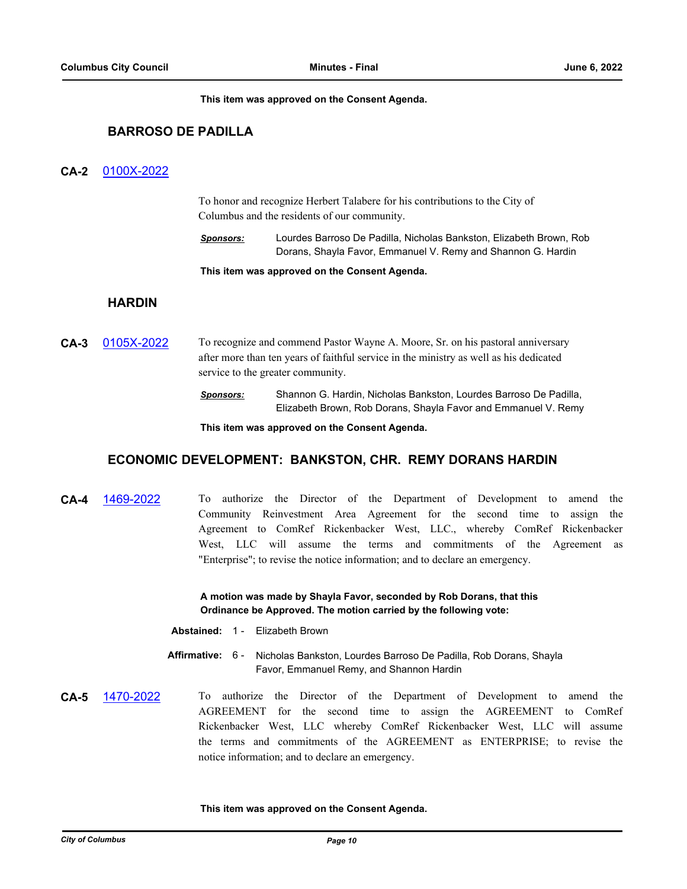**This item was approved on the Consent Agenda.**

## **BARROSO DE PADILLA**

### **CA-2** [0100X-2022](http://columbus.legistar.com/gateway.aspx?m=l&id=/matter.aspx?key=123124)

To honor and recognize Herbert Talabere for his contributions to the City of Columbus and the residents of our community.

*Sponsors:* Lourdes Barroso De Padilla, Nicholas Bankston, Elizabeth Brown, Rob Dorans, Shayla Favor, Emmanuel V. Remy and Shannon G. Hardin

**This item was approved on the Consent Agenda.**

## **HARDIN**

**CA-3** [0105X-2022](http://columbus.legistar.com/gateway.aspx?m=l&id=/matter.aspx?key=123166) To recognize and commend Pastor Wayne A. Moore, Sr. on his pastoral anniversary after more than ten years of faithful service in the ministry as well as his dedicated service to the greater community.

> *Sponsors:* Shannon G. Hardin, Nicholas Bankston, Lourdes Barroso De Padilla, Elizabeth Brown, Rob Dorans, Shayla Favor and Emmanuel V. Remy

**This item was approved on the Consent Agenda.**

## **ECONOMIC DEVELOPMENT: BANKSTON, CHR. REMY DORANS HARDIN**

**CA-4** [1469-2022](http://columbus.legistar.com/gateway.aspx?m=l&id=/matter.aspx?key=122986) To authorize the Director of the Department of Development to amend the Community Reinvestment Area Agreement for the second time to assign the Agreement to ComRef Rickenbacker West, LLC., whereby ComRef Rickenbacker West, LLC will assume the terms and commitments of the Agreement as "Enterprise"; to revise the notice information; and to declare an emergency.

> **A motion was made by Shayla Favor, seconded by Rob Dorans, that this Ordinance be Approved. The motion carried by the following vote:**

- **Abstained:** 1 Elizabeth Brown
- Affirmative: 6 Nicholas Bankston, Lourdes Barroso De Padilla, Rob Dorans, Shayla Favor, Emmanuel Remy, and Shannon Hardin
- **CA-5** [1470-2022](http://columbus.legistar.com/gateway.aspx?m=l&id=/matter.aspx?key=122987) To authorize the Director of the Department of Development to amend the AGREEMENT for the second time to assign the AGREEMENT to ComRef Rickenbacker West, LLC whereby ComRef Rickenbacker West, LLC will assume the terms and commitments of the AGREEMENT as ENTERPRISE; to revise the notice information; and to declare an emergency.

#### **This item was approved on the Consent Agenda.**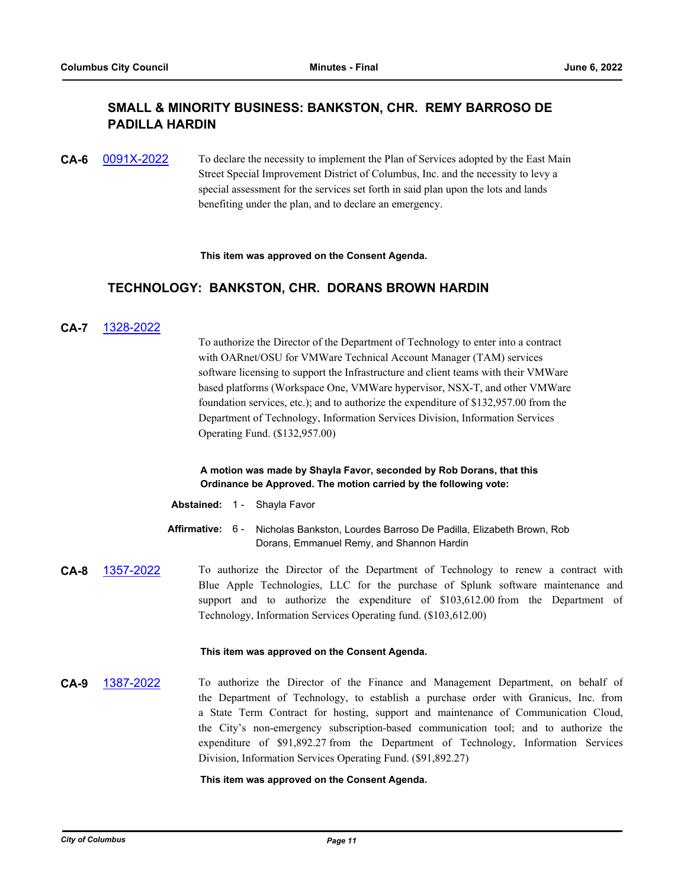## **SMALL & MINORITY BUSINESS: BANKSTON, CHR. REMY BARROSO DE PADILLA HARDIN**

**CA-6** [0091X-2022](http://columbus.legistar.com/gateway.aspx?m=l&id=/matter.aspx?key=122995) To declare the necessity to implement the Plan of Services adopted by the East Main Street Special Improvement District of Columbus, Inc. and the necessity to levy a special assessment for the services set forth in said plan upon the lots and lands benefiting under the plan, and to declare an emergency.

#### **This item was approved on the Consent Agenda.**

## **TECHNOLOGY: BANKSTON, CHR. DORANS BROWN HARDIN**

## **CA-7** [1328-2022](http://columbus.legistar.com/gateway.aspx?m=l&id=/matter.aspx?key=122844)

To authorize the Director of the Department of Technology to enter into a contract with OARnet/OSU for VMWare Technical Account Manager (TAM) services software licensing to support the Infrastructure and client teams with their VMWare based platforms (Workspace One, VMWare hypervisor, NSX-T, and other VMWare foundation services, etc.); and to authorize the expenditure of \$132,957.00 from the Department of Technology, Information Services Division, Information Services Operating Fund. (\$132,957.00)

#### **A motion was made by Shayla Favor, seconded by Rob Dorans, that this Ordinance be Approved. The motion carried by the following vote:**

- **Abstained:** 1 Shayla Favor
- Affirmative: 6 Nicholas Bankston, Lourdes Barroso De Padilla, Elizabeth Brown, Rob Dorans, Emmanuel Remy, and Shannon Hardin
- **CA-8** [1357-2022](http://columbus.legistar.com/gateway.aspx?m=l&id=/matter.aspx?key=122873) To authorize the Director of the Department of Technology to renew a contract with Blue Apple Technologies, LLC for the purchase of Splunk software maintenance and support and to authorize the expenditure of \$103,612.00 from the Department of Technology, Information Services Operating fund. (\$103,612.00)

#### **This item was approved on the Consent Agenda.**

**CA-9** [1387-2022](http://columbus.legistar.com/gateway.aspx?m=l&id=/matter.aspx?key=122904) To authorize the Director of the Finance and Management Department, on behalf of the Department of Technology, to establish a purchase order with Granicus, Inc. from a State Term Contract for hosting, support and maintenance of Communication Cloud, the City's non-emergency subscription-based communication tool; and to authorize the expenditure of \$91,892.27 from the Department of Technology, Information Services Division, Information Services Operating Fund. (\$91,892.27)

#### **This item was approved on the Consent Agenda.**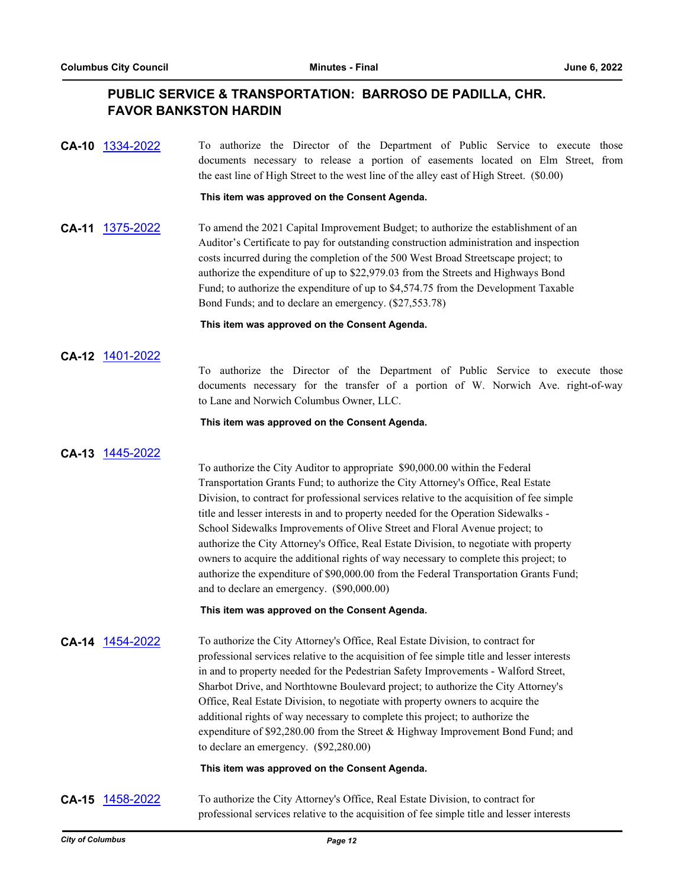## **PUBLIC SERVICE & TRANSPORTATION: BARROSO DE PADILLA, CHR. FAVOR BANKSTON HARDIN**

| CA-10 1334-2022 | To authorize the Director of the Department of Public Service to execute those<br>documents necessary to release a portion of easements located on Elm Street, from<br>the east line of High Street to the west line of the alley east of High Street. (\$0.00)                                                                                                                                                                                                                                                                                                                                                                                                                                                                                             |
|-----------------|-------------------------------------------------------------------------------------------------------------------------------------------------------------------------------------------------------------------------------------------------------------------------------------------------------------------------------------------------------------------------------------------------------------------------------------------------------------------------------------------------------------------------------------------------------------------------------------------------------------------------------------------------------------------------------------------------------------------------------------------------------------|
|                 | This item was approved on the Consent Agenda.                                                                                                                                                                                                                                                                                                                                                                                                                                                                                                                                                                                                                                                                                                               |
| CA-11 1375-2022 | To amend the 2021 Capital Improvement Budget; to authorize the establishment of an<br>Auditor's Certificate to pay for outstanding construction administration and inspection<br>costs incurred during the completion of the 500 West Broad Streetscape project; to<br>authorize the expenditure of up to \$22,979.03 from the Streets and Highways Bond<br>Fund; to authorize the expenditure of up to \$4,574.75 from the Development Taxable<br>Bond Funds; and to declare an emergency. (\$27,553.78)                                                                                                                                                                                                                                                   |
|                 | This item was approved on the Consent Agenda.                                                                                                                                                                                                                                                                                                                                                                                                                                                                                                                                                                                                                                                                                                               |
| CA-12 1401-2022 | To authorize the Director of the Department of Public Service to execute those<br>documents necessary for the transfer of a portion of W. Norwich Ave. right-of-way<br>to Lane and Norwich Columbus Owner, LLC.                                                                                                                                                                                                                                                                                                                                                                                                                                                                                                                                             |
|                 | This item was approved on the Consent Agenda.                                                                                                                                                                                                                                                                                                                                                                                                                                                                                                                                                                                                                                                                                                               |
| CA-13 1445-2022 | To authorize the City Auditor to appropriate \$90,000.00 within the Federal<br>Transportation Grants Fund; to authorize the City Attorney's Office, Real Estate<br>Division, to contract for professional services relative to the acquisition of fee simple<br>title and lesser interests in and to property needed for the Operation Sidewalks -<br>School Sidewalks Improvements of Olive Street and Floral Avenue project; to<br>authorize the City Attorney's Office, Real Estate Division, to negotiate with property<br>owners to acquire the additional rights of way necessary to complete this project; to<br>authorize the expenditure of \$90,000.00 from the Federal Transportation Grants Fund;<br>and to declare an emergency. (\$90,000.00) |
|                 | This item was approved on the Consent Agenda.                                                                                                                                                                                                                                                                                                                                                                                                                                                                                                                                                                                                                                                                                                               |
| CA-14 1454-2022 | To authorize the City Attorney's Office, Real Estate Division, to contract for<br>professional services relative to the acquisition of fee simple title and lesser interests<br>in and to property needed for the Pedestrian Safety Improvements - Walford Street,<br>Sharbot Drive, and Northtowne Boulevard project; to authorize the City Attorney's<br>Office, Real Estate Division, to negotiate with property owners to acquire the<br>additional rights of way necessary to complete this project; to authorize the<br>expenditure of \$92,280.00 from the Street & Highway Improvement Bond Fund; and<br>to declare an emergency. (\$92,280.00)                                                                                                     |
|                 | This item was approved on the Consent Agenda.                                                                                                                                                                                                                                                                                                                                                                                                                                                                                                                                                                                                                                                                                                               |
| CA-15 1458-2022 | To authorize the City Attorney's Office, Real Estate Division, to contract for<br>professional services relative to the acquisition of fee simple title and lesser interests                                                                                                                                                                                                                                                                                                                                                                                                                                                                                                                                                                                |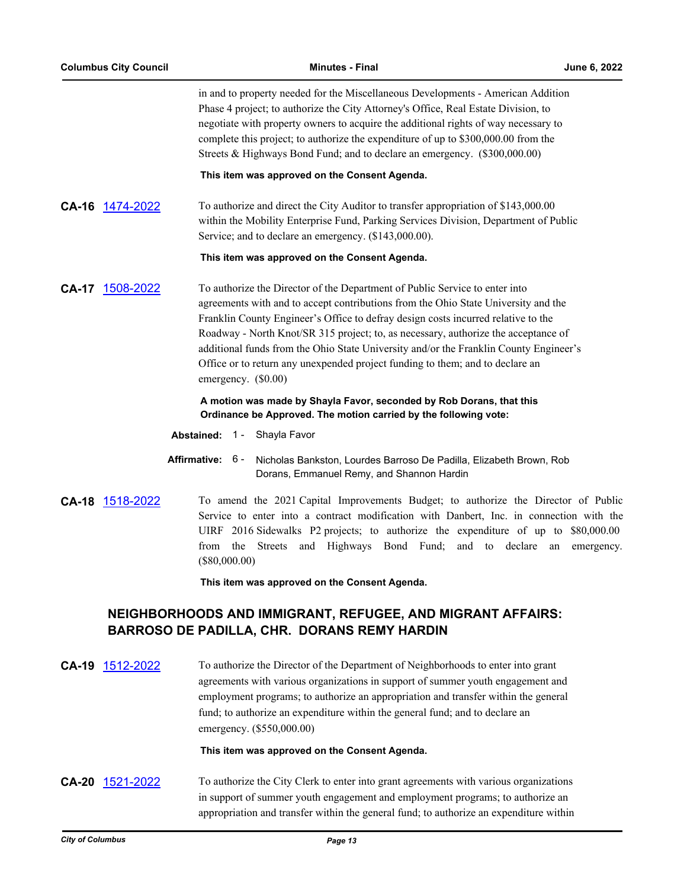| <b>Columbus City Council</b> | <b>Minutes - Final</b>                                                                                                                                                                                                                                                                                                                                                                                                                                                                                                                        | June 6, 2022 |
|------------------------------|-----------------------------------------------------------------------------------------------------------------------------------------------------------------------------------------------------------------------------------------------------------------------------------------------------------------------------------------------------------------------------------------------------------------------------------------------------------------------------------------------------------------------------------------------|--------------|
|                              | in and to property needed for the Miscellaneous Developments - American Addition<br>Phase 4 project; to authorize the City Attorney's Office, Real Estate Division, to<br>negotiate with property owners to acquire the additional rights of way necessary to<br>complete this project; to authorize the expenditure of up to \$300,000.00 from the<br>Streets & Highways Bond Fund; and to declare an emergency. (\$300,000.00)                                                                                                              |              |
|                              | This item was approved on the Consent Agenda.                                                                                                                                                                                                                                                                                                                                                                                                                                                                                                 |              |
| CA-16 1474-2022              | To authorize and direct the City Auditor to transfer appropriation of \$143,000.00<br>within the Mobility Enterprise Fund, Parking Services Division, Department of Public<br>Service; and to declare an emergency. (\$143,000.00).                                                                                                                                                                                                                                                                                                           |              |
|                              | This item was approved on the Consent Agenda.                                                                                                                                                                                                                                                                                                                                                                                                                                                                                                 |              |
| CA-17 1508-2022              | To authorize the Director of the Department of Public Service to enter into<br>agreements with and to accept contributions from the Ohio State University and the<br>Franklin County Engineer's Office to defray design costs incurred relative to the<br>Roadway - North Knot/SR 315 project; to, as necessary, authorize the acceptance of<br>additional funds from the Ohio State University and/or the Franklin County Engineer's<br>Office or to return any unexpended project funding to them; and to declare an<br>emergency. (\$0.00) |              |
|                              | A motion was made by Shayla Favor, seconded by Rob Dorans, that this<br>Ordinance be Approved. The motion carried by the following vote:                                                                                                                                                                                                                                                                                                                                                                                                      |              |
|                              | Abstained: 1 - Shayla Favor                                                                                                                                                                                                                                                                                                                                                                                                                                                                                                                   |              |
|                              | Affirmative: 6 -<br>Nicholas Bankston, Lourdes Barroso De Padilla, Elizabeth Brown, Rob<br>Dorans, Emmanuel Remy, and Shannon Hardin                                                                                                                                                                                                                                                                                                                                                                                                          |              |
| CA-18 1518-2022              | To amend the 2021 Capital Improvements Budget; to authorize the Director of Public<br>Service to enter into a contract modification with Danbert, Inc. in connection with the<br>UIRF 2016 Sidewalks P2 projects; to authorize the expenditure of up to \$80,000.00<br>the Streets and Highways Bond Fund; and to declare an<br>from<br>$(\$80,000.00)$                                                                                                                                                                                       | emergency.   |
|                              | This item was approved on the Consent Agenda.                                                                                                                                                                                                                                                                                                                                                                                                                                                                                                 |              |
|                              | NEIGHBORHOODS AND IMMIGRANT, REFUGEE, AND MIGRANT AFFAIRS:<br><b>BARROSO DE PADILLA, CHR. DORANS REMY HARDIN</b>                                                                                                                                                                                                                                                                                                                                                                                                                              |              |
| CA-19 1512-2022              | To authorize the Director of the Department of Neighborhoods to enter into grant<br>agreements with various organizations in support of summer youth engagement and<br>employment programs; to authorize an appropriation and transfer within the general<br>fund; to authorize an expenditure within the general fund; and to declare an                                                                                                                                                                                                     |              |

### **This item was approved on the Consent Agenda.**

emergency. (\$550,000.00)

**CA-20** [1521-2022](http://columbus.legistar.com/gateway.aspx?m=l&id=/matter.aspx?key=123039) To authorize the City Clerk to enter into grant agreements with various organizations in support of summer youth engagement and employment programs; to authorize an appropriation and transfer within the general fund; to authorize an expenditure within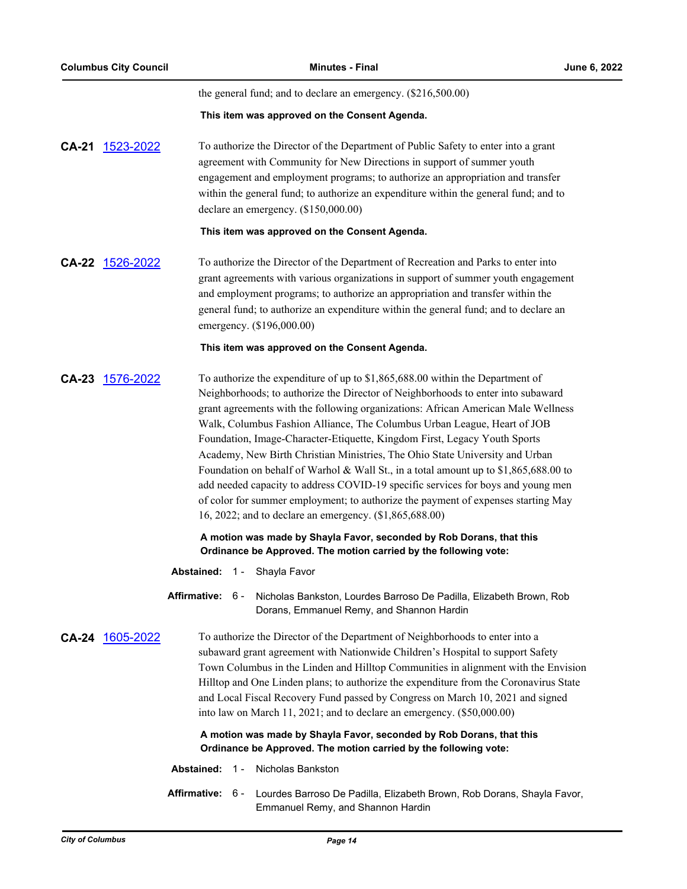the general fund; and to declare an emergency. (\$216,500.00)

#### **This item was approved on the Consent Agenda.**

**CA-21** [1523-2022](http://columbus.legistar.com/gateway.aspx?m=l&id=/matter.aspx?key=123041) To authorize the Director of the Department of Public Safety to enter into a grant agreement with Community for New Directions in support of summer youth engagement and employment programs; to authorize an appropriation and transfer within the general fund; to authorize an expenditure within the general fund; and to declare an emergency. (\$150,000.00)

#### **This item was approved on the Consent Agenda.**

**CA-22** [1526-2022](http://columbus.legistar.com/gateway.aspx?m=l&id=/matter.aspx?key=123044) To authorize the Director of the Department of Recreation and Parks to enter into grant agreements with various organizations in support of summer youth engagement and employment programs; to authorize an appropriation and transfer within the general fund; to authorize an expenditure within the general fund; and to declare an emergency. (\$196,000.00)

#### **This item was approved on the Consent Agenda.**

**CA-23** [1576-2022](http://columbus.legistar.com/gateway.aspx?m=l&id=/matter.aspx?key=123094) To authorize the expenditure of up to \$1,865,688.00 within the Department of Neighborhoods; to authorize the Director of Neighborhoods to enter into subaward grant agreements with the following organizations: African American Male Wellness Walk, Columbus Fashion Alliance, The Columbus Urban League, Heart of JOB Foundation, Image-Character-Etiquette, Kingdom First, Legacy Youth Sports Academy, New Birth Christian Ministries, The Ohio State University and Urban Foundation on behalf of Warhol & Wall St., in a total amount up to \$1,865,688.00 to add needed capacity to address COVID-19 specific services for boys and young men of color for summer employment; to authorize the payment of expenses starting May 16, 2022; and to declare an emergency. (\$1,865,688.00)

### **A motion was made by Shayla Favor, seconded by Rob Dorans, that this Ordinance be Approved. The motion carried by the following vote:**

- **Abstained:** 1 Shayla Favor
- **Affirmative:** Nicholas Bankston, Lourdes Barroso De Padilla, Elizabeth Brown, Rob Dorans, Emmanuel Remy, and Shannon Hardin Affirmative: 6 -

## **CA-24** [1605-2022](http://columbus.legistar.com/gateway.aspx?m=l&id=/matter.aspx?key=123125) To authorize the Director of the Department of Neighborhoods to enter into a subaward grant agreement with Nationwide Children's Hospital to support Safety Town Columbus in the Linden and Hilltop Communities in alignment with the Envision Hilltop and One Linden plans; to authorize the expenditure from the Coronavirus State and Local Fiscal Recovery Fund passed by Congress on March 10, 2021 and signed into law on March 11, 2021; and to declare an emergency. (\$50,000.00)

### **A motion was made by Shayla Favor, seconded by Rob Dorans, that this Ordinance be Approved. The motion carried by the following vote:**

- **Abstained:** 1 Nicholas Bankston
- Affirmative: 6 Lourdes Barroso De Padilla, Elizabeth Brown, Rob Dorans, Shayla Favor, Emmanuel Remy, and Shannon Hardin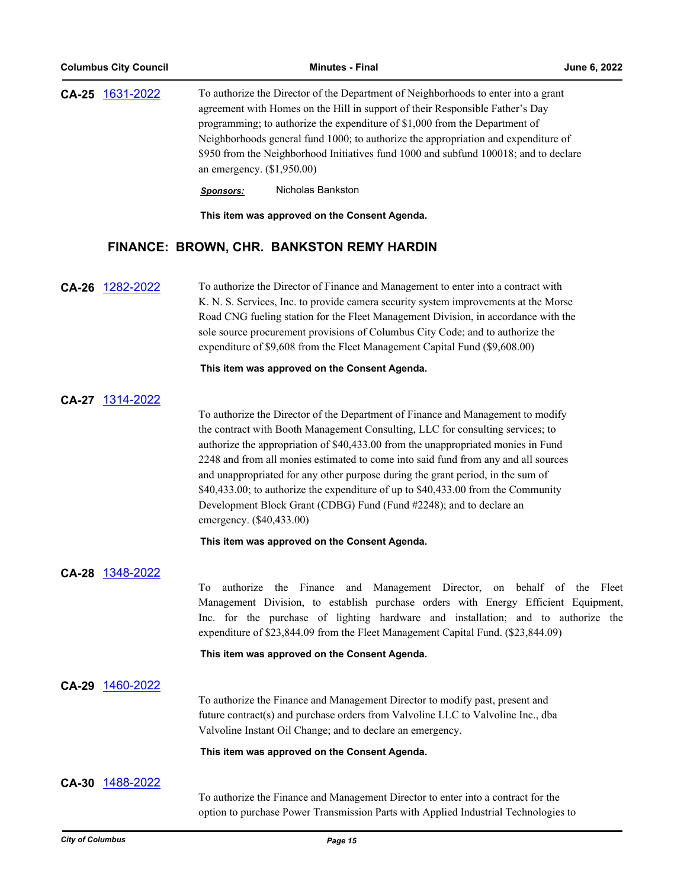| CA-25 1631-2022 | To authorize the Director of the Department of Neighborhoods to enter into a grant<br>agreement with Homes on the Hill in support of their Responsible Father's Day<br>programming; to authorize the expenditure of \$1,000 from the Department of<br>Neighborhoods general fund 1000; to authorize the appropriation and expenditure of<br>\$950 from the Neighborhood Initiatives fund 1000 and subfund 100018; and to declare<br>an emergency. $(\$1,950.00)$                                                                                                                                                                                                         |
|-----------------|--------------------------------------------------------------------------------------------------------------------------------------------------------------------------------------------------------------------------------------------------------------------------------------------------------------------------------------------------------------------------------------------------------------------------------------------------------------------------------------------------------------------------------------------------------------------------------------------------------------------------------------------------------------------------|
|                 | Nicholas Bankston<br><b>Sponsors:</b>                                                                                                                                                                                                                                                                                                                                                                                                                                                                                                                                                                                                                                    |
|                 | This item was approved on the Consent Agenda.                                                                                                                                                                                                                                                                                                                                                                                                                                                                                                                                                                                                                            |
|                 | FINANCE: BROWN, CHR. BANKSTON REMY HARDIN                                                                                                                                                                                                                                                                                                                                                                                                                                                                                                                                                                                                                                |
| CA-26 1282-2022 | To authorize the Director of Finance and Management to enter into a contract with<br>K. N. S. Services, Inc. to provide camera security system improvements at the Morse<br>Road CNG fueling station for the Fleet Management Division, in accordance with the<br>sole source procurement provisions of Columbus City Code; and to authorize the<br>expenditure of \$9,608 from the Fleet Management Capital Fund (\$9,608.00)                                                                                                                                                                                                                                           |
|                 | This item was approved on the Consent Agenda.                                                                                                                                                                                                                                                                                                                                                                                                                                                                                                                                                                                                                            |
| CA-27 1314-2022 | To authorize the Director of the Department of Finance and Management to modify<br>the contract with Booth Management Consulting, LLC for consulting services; to<br>authorize the appropriation of \$40,433.00 from the unappropriated monies in Fund<br>2248 and from all monies estimated to come into said fund from any and all sources<br>and unappropriated for any other purpose during the grant period, in the sum of<br>\$40,433.00; to authorize the expenditure of up to \$40,433.00 from the Community<br>Development Block Grant (CDBG) Fund (Fund #2248); and to declare an<br>emergency. (\$40,433.00)<br>This item was approved on the Consent Agenda. |
| CA-28 1348-2022 | To authorize the Finance and Management Director, on behalf of the Fleet<br>Management Division, to establish purchase orders with Energy Efficient Equipment,<br>Inc. for the purchase of lighting hardware and installation; and to authorize the<br>expenditure of \$23,844.09 from the Fleet Management Capital Fund. (\$23,844.09)<br>This item was approved on the Consent Agenda.                                                                                                                                                                                                                                                                                 |
| CA-29 1460-2022 | To authorize the Finance and Management Director to modify past, present and<br>future contract(s) and purchase orders from Valvoline LLC to Valvoline Inc., dba<br>Valvoline Instant Oil Change; and to declare an emergency.<br>This item was approved on the Consent Agenda.                                                                                                                                                                                                                                                                                                                                                                                          |
| CA-30 1488-2022 | To authorize the Finance and Management Director to enter into a contract for the<br>option to purchase Power Transmission Parts with Applied Industrial Technologies to                                                                                                                                                                                                                                                                                                                                                                                                                                                                                                 |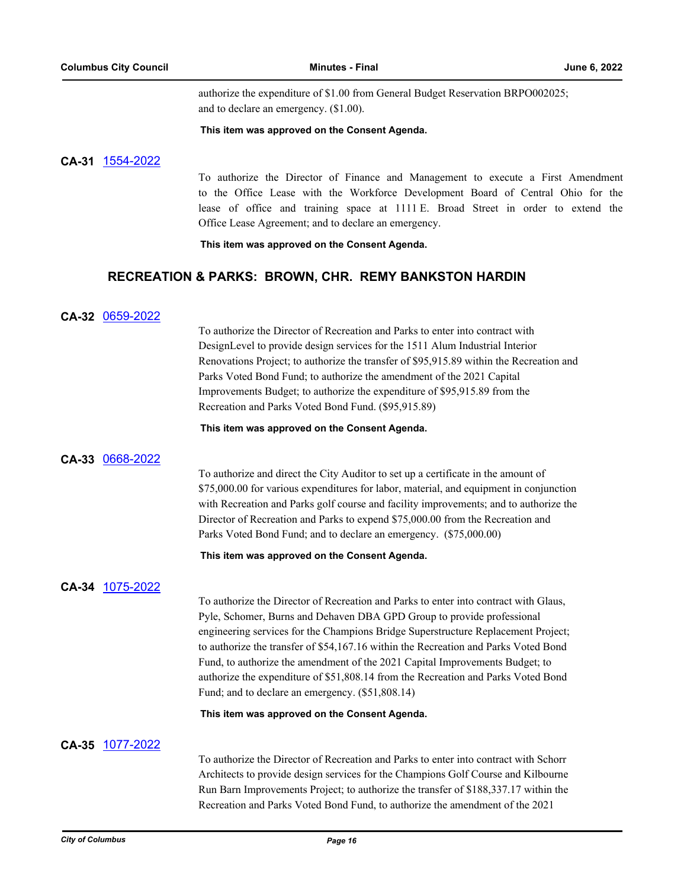authorize the expenditure of \$1.00 from General Budget Reservation BRPO002025; and to declare an emergency. (\$1.00).

#### **This item was approved on the Consent Agenda.**

#### **CA-31** [1554-2022](http://columbus.legistar.com/gateway.aspx?m=l&id=/matter.aspx?key=123072)

To authorize the Director of Finance and Management to execute a First Amendment to the Office Lease with the Workforce Development Board of Central Ohio for the lease of office and training space at 1111 E. Broad Street in order to extend the Office Lease Agreement; and to declare an emergency.

**This item was approved on the Consent Agenda.**

## **RECREATION & PARKS: BROWN, CHR. REMY BANKSTON HARDIN**

### **CA-32** [0659-2022](http://columbus.legistar.com/gateway.aspx?m=l&id=/matter.aspx?key=122171)

To authorize the Director of Recreation and Parks to enter into contract with DesignLevel to provide design services for the 1511 Alum Industrial Interior Renovations Project; to authorize the transfer of \$95,915.89 within the Recreation and Parks Voted Bond Fund; to authorize the amendment of the 2021 Capital Improvements Budget; to authorize the expenditure of \$95,915.89 from the Recreation and Parks Voted Bond Fund. (\$95,915.89)

#### **This item was approved on the Consent Agenda.**

#### **CA-33** [0668-2022](http://columbus.legistar.com/gateway.aspx?m=l&id=/matter.aspx?key=122180)

To authorize and direct the City Auditor to set up a certificate in the amount of \$75,000.00 for various expenditures for labor, material, and equipment in conjunction with Recreation and Parks golf course and facility improvements; and to authorize the Director of Recreation and Parks to expend \$75,000.00 from the Recreation and Parks Voted Bond Fund; and to declare an emergency. (\$75,000.00)

#### **This item was approved on the Consent Agenda.**

## **CA-34** [1075-2022](http://columbus.legistar.com/gateway.aspx?m=l&id=/matter.aspx?key=122587)

To authorize the Director of Recreation and Parks to enter into contract with Glaus, Pyle, Schomer, Burns and Dehaven DBA GPD Group to provide professional engineering services for the Champions Bridge Superstructure Replacement Project; to authorize the transfer of \$54,167.16 within the Recreation and Parks Voted Bond Fund, to authorize the amendment of the 2021 Capital Improvements Budget; to authorize the expenditure of \$51,808.14 from the Recreation and Parks Voted Bond Fund; and to declare an emergency. (\$51,808.14)

**This item was approved on the Consent Agenda.**

#### **CA-35** [1077-2022](http://columbus.legistar.com/gateway.aspx?m=l&id=/matter.aspx?key=122590)

To authorize the Director of Recreation and Parks to enter into contract with Schorr Architects to provide design services for the Champions Golf Course and Kilbourne Run Barn Improvements Project; to authorize the transfer of \$188,337.17 within the Recreation and Parks Voted Bond Fund, to authorize the amendment of the 2021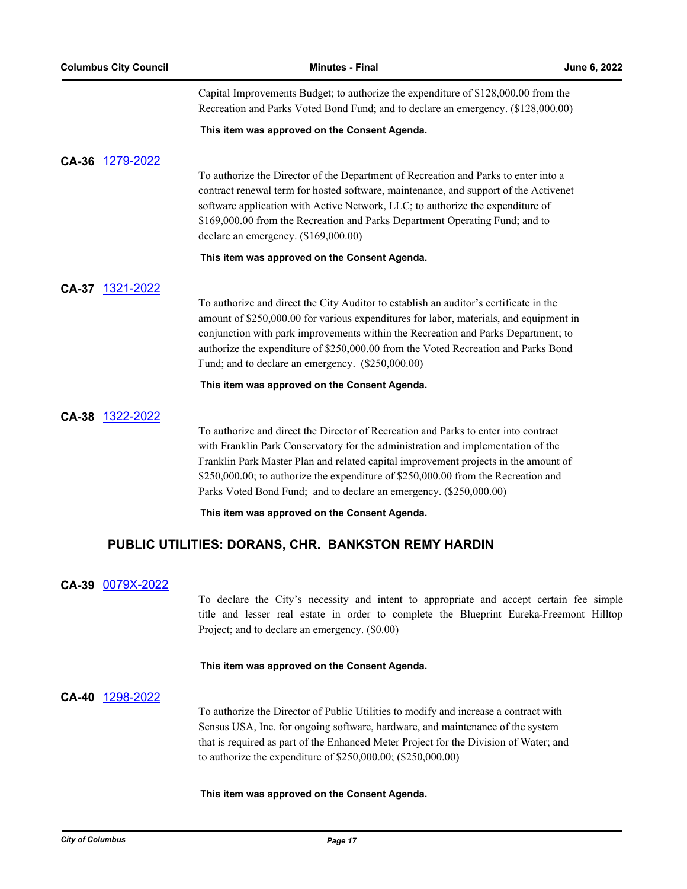Capital Improvements Budget; to authorize the expenditure of \$128,000.00 from the Recreation and Parks Voted Bond Fund; and to declare an emergency. (\$128,000.00)

#### **This item was approved on the Consent Agenda.**

#### **CA-36** [1279-2022](http://columbus.legistar.com/gateway.aspx?m=l&id=/matter.aspx?key=122794)

To authorize the Director of the Department of Recreation and Parks to enter into a contract renewal term for hosted software, maintenance, and support of the Activenet software application with Active Network, LLC; to authorize the expenditure of \$169,000.00 from the Recreation and Parks Department Operating Fund; and to declare an emergency. (\$169,000.00)

#### **This item was approved on the Consent Agenda.**

## **CA-37** [1321-2022](http://columbus.legistar.com/gateway.aspx?m=l&id=/matter.aspx?key=122837)

To authorize and direct the City Auditor to establish an auditor's certificate in the amount of \$250,000.00 for various expenditures for labor, materials, and equipment in conjunction with park improvements within the Recreation and Parks Department; to authorize the expenditure of \$250,000.00 from the Voted Recreation and Parks Bond Fund; and to declare an emergency. (\$250,000.00)

#### **This item was approved on the Consent Agenda.**

#### **CA-38** [1322-2022](http://columbus.legistar.com/gateway.aspx?m=l&id=/matter.aspx?key=122838)

To authorize and direct the Director of Recreation and Parks to enter into contract with Franklin Park Conservatory for the administration and implementation of the Franklin Park Master Plan and related capital improvement projects in the amount of \$250,000.00; to authorize the expenditure of \$250,000.00 from the Recreation and Parks Voted Bond Fund; and to declare an emergency. (\$250,000.00)

**This item was approved on the Consent Agenda.**

## **PUBLIC UTILITIES: DORANS, CHR. BANKSTON REMY HARDIN**

#### **CA-39** [0079X-2022](http://columbus.legistar.com/gateway.aspx?m=l&id=/matter.aspx?key=122832)

To declare the City's necessity and intent to appropriate and accept certain fee simple title and lesser real estate in order to complete the Blueprint Eureka-Freemont Hilltop Project; and to declare an emergency. (\$0.00)

#### **This item was approved on the Consent Agenda.**

#### **CA-40** [1298-2022](http://columbus.legistar.com/gateway.aspx?m=l&id=/matter.aspx?key=122813)

To authorize the Director of Public Utilities to modify and increase a contract with Sensus USA, Inc. for ongoing software, hardware, and maintenance of the system that is required as part of the Enhanced Meter Project for the Division of Water; and to authorize the expenditure of \$250,000.00; (\$250,000.00)

#### **This item was approved on the Consent Agenda.**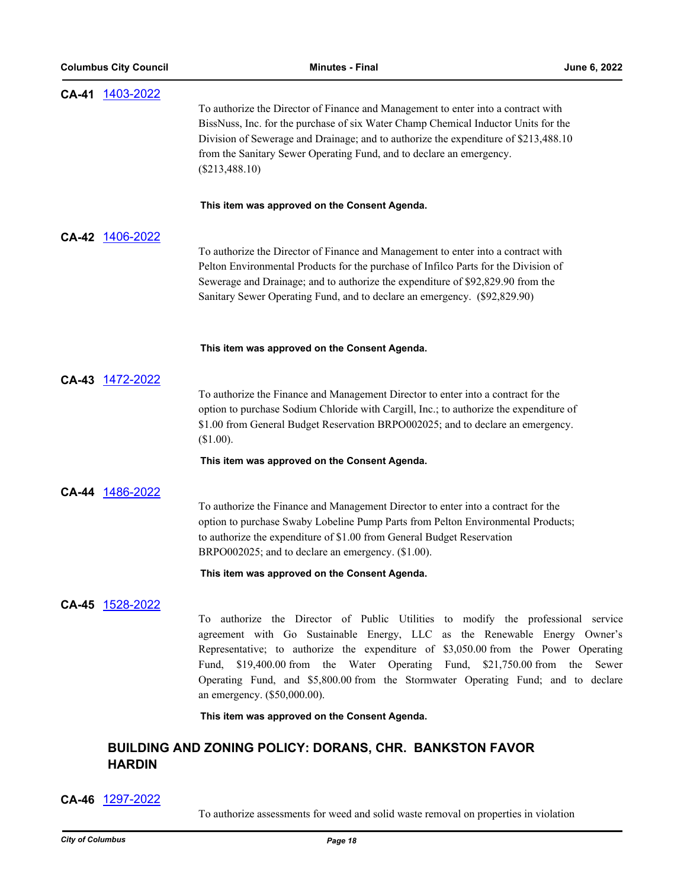| CA-41 1403-2022 | To authorize the Director of Finance and Management to enter into a contract with<br>BissNuss, Inc. for the purchase of six Water Champ Chemical Inductor Units for the<br>Division of Sewerage and Drainage; and to authorize the expenditure of \$213,488.10<br>from the Sanitary Sewer Operating Fund, and to declare an emergency.<br>$(\$213,488.10)$                                                                                               |
|-----------------|----------------------------------------------------------------------------------------------------------------------------------------------------------------------------------------------------------------------------------------------------------------------------------------------------------------------------------------------------------------------------------------------------------------------------------------------------------|
|                 | This item was approved on the Consent Agenda.                                                                                                                                                                                                                                                                                                                                                                                                            |
| CA-42 1406-2022 | To authorize the Director of Finance and Management to enter into a contract with<br>Pelton Environmental Products for the purchase of Infilco Parts for the Division of<br>Sewerage and Drainage; and to authorize the expenditure of \$92,829.90 from the<br>Sanitary Sewer Operating Fund, and to declare an emergency. (\$92,829.90)                                                                                                                 |
|                 | This item was approved on the Consent Agenda.                                                                                                                                                                                                                                                                                                                                                                                                            |
| CA-43 1472-2022 | To authorize the Finance and Management Director to enter into a contract for the<br>option to purchase Sodium Chloride with Cargill, Inc.; to authorize the expenditure of<br>\$1.00 from General Budget Reservation BRPO002025; and to declare an emergency.<br>(\$1.00).                                                                                                                                                                              |
|                 | This item was approved on the Consent Agenda.                                                                                                                                                                                                                                                                                                                                                                                                            |
| CA-44 1486-2022 | To authorize the Finance and Management Director to enter into a contract for the<br>option to purchase Swaby Lobeline Pump Parts from Pelton Environmental Products;<br>to authorize the expenditure of \$1.00 from General Budget Reservation<br>BRPO002025; and to declare an emergency. (\$1.00).                                                                                                                                                    |
|                 | This item was approved on the Consent Agenda.                                                                                                                                                                                                                                                                                                                                                                                                            |
| CA-45 1528-2022 | To authorize the Director of Public Utilities to modify the professional service<br>agreement with Go Sustainable Energy, LLC as the Renewable Energy Owner's<br>Representative; to authorize the expenditure of \$3,050.00 from the Power Operating<br>Fund, \$19,400.00 from the Water Operating Fund, \$21,750.00 from the Sewer<br>Operating Fund, and \$5,800.00 from the Stormwater Operating Fund; and to declare<br>an emergency. (\$50,000.00). |
|                 | This item was approved on the Consent Agenda.                                                                                                                                                                                                                                                                                                                                                                                                            |
| <b>HARDIN</b>   | <b>BUILDING AND ZONING POLICY: DORANS, CHR. BANKSTON FAVOR</b>                                                                                                                                                                                                                                                                                                                                                                                           |

# **CA-46** [1297-2022](http://columbus.legistar.com/gateway.aspx?m=l&id=/matter.aspx?key=122812)

To authorize assessments for weed and solid waste removal on properties in violation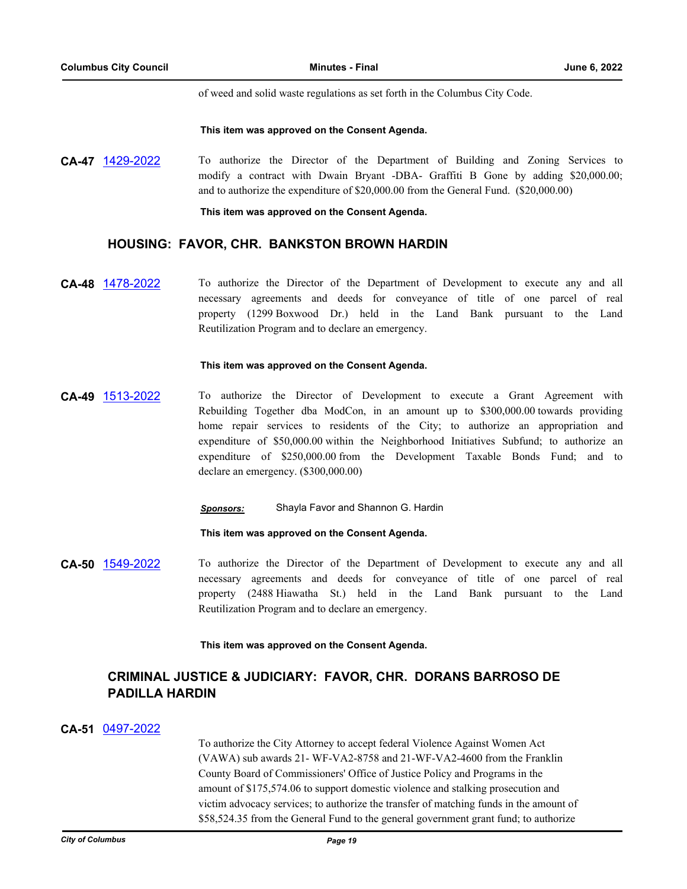of weed and solid waste regulations as set forth in the Columbus City Code.

#### **This item was approved on the Consent Agenda.**

**CA-47** [1429-2022](http://columbus.legistar.com/gateway.aspx?m=l&id=/matter.aspx?key=122946) To authorize the Director of the Department of Building and Zoning Services to modify a contract with Dwain Bryant -DBA- Graffiti B Gone by adding \$20,000.00; and to authorize the expenditure of \$20,000.00 from the General Fund. (\$20,000.00)

**This item was approved on the Consent Agenda.**

### **HOUSING: FAVOR, CHR. BANKSTON BROWN HARDIN**

**CA-48** [1478-2022](http://columbus.legistar.com/gateway.aspx?m=l&id=/matter.aspx?key=122996) To authorize the Director of the Department of Development to execute any and all necessary agreements and deeds for conveyance of title of one parcel of real property (1299 Boxwood Dr.) held in the Land Bank pursuant to the Land Reutilization Program and to declare an emergency.

#### **This item was approved on the Consent Agenda.**

- **CA-49** [1513-2022](http://columbus.legistar.com/gateway.aspx?m=l&id=/matter.aspx?key=123031) To authorize the Director of Development to execute a Grant Agreement with Rebuilding Together dba ModCon, in an amount up to \$300,000.00 towards providing home repair services to residents of the City; to authorize an appropriation and expenditure of \$50,000.00 within the Neighborhood Initiatives Subfund; to authorize an expenditure of \$250,000.00 from the Development Taxable Bonds Fund; and to declare an emergency. (\$300,000.00)
	- *Sponsors:* Shayla Favor and Shannon G. Hardin

**This item was approved on the Consent Agenda.**

**CA-50** [1549-2022](http://columbus.legistar.com/gateway.aspx?m=l&id=/matter.aspx?key=123067) To authorize the Director of the Department of Development to execute any and all necessary agreements and deeds for conveyance of title of one parcel of real property (2488 Hiawatha St.) held in the Land Bank pursuant to the Land Reutilization Program and to declare an emergency.

#### **This item was approved on the Consent Agenda.**

## **CRIMINAL JUSTICE & JUDICIARY: FAVOR, CHR. DORANS BARROSO DE PADILLA HARDIN**

#### **CA-51** [0497-2022](http://columbus.legistar.com/gateway.aspx?m=l&id=/matter.aspx?key=122009)

To authorize the City Attorney to accept federal Violence Against Women Act (VAWA) sub awards 21- WF-VA2-8758 and 21-WF-VA2-4600 from the Franklin County Board of Commissioners' Office of Justice Policy and Programs in the amount of \$175,574.06 to support domestic violence and stalking prosecution and victim advocacy services; to authorize the transfer of matching funds in the amount of \$58,524.35 from the General Fund to the general government grant fund; to authorize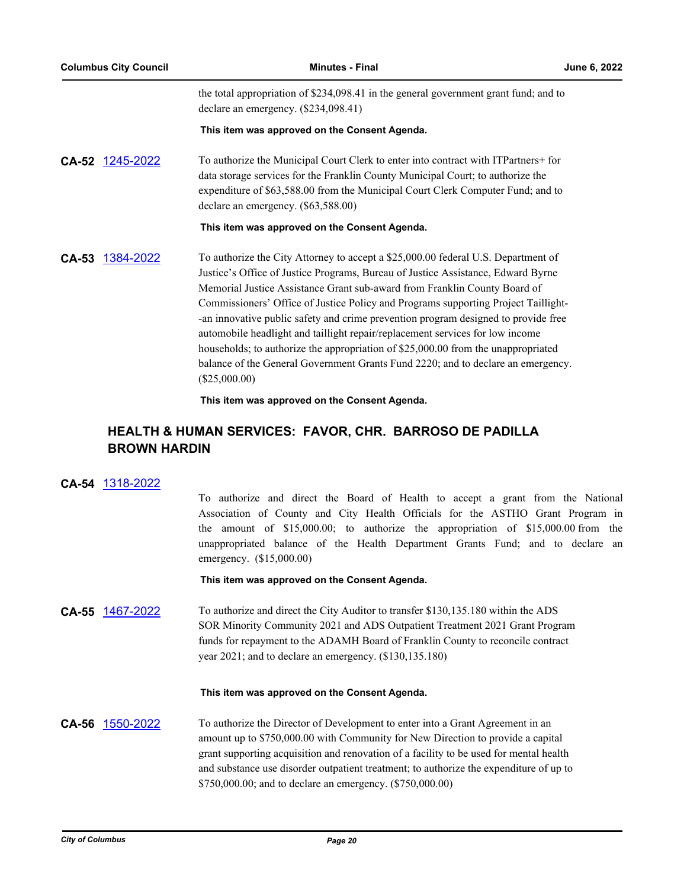| <b>Columbus City Council</b> | <b>Minutes - Final</b>                                                                                                                                                                                                                                                                                                                                                                                                                                                                                          | <b>June 6, 2022</b> |
|------------------------------|-----------------------------------------------------------------------------------------------------------------------------------------------------------------------------------------------------------------------------------------------------------------------------------------------------------------------------------------------------------------------------------------------------------------------------------------------------------------------------------------------------------------|---------------------|
|                              | the total appropriation of \$234,098.41 in the general government grant fund; and to<br>declare an emergency. (\$234,098.41)                                                                                                                                                                                                                                                                                                                                                                                    |                     |
|                              | This item was approved on the Consent Agenda.                                                                                                                                                                                                                                                                                                                                                                                                                                                                   |                     |
| CA-52 1245-2022              | To authorize the Municipal Court Clerk to enter into contract with ITPartners+ for<br>data storage services for the Franklin County Municipal Court; to authorize the<br>expenditure of \$63,588.00 from the Municipal Court Clerk Computer Fund; and to<br>declare an emergency. (\$63,588.00)                                                                                                                                                                                                                 |                     |
|                              | This item was approved on the Consent Agenda.                                                                                                                                                                                                                                                                                                                                                                                                                                                                   |                     |
| CA-53 1384-2022              | To authorize the City Attorney to accept a \$25,000.00 federal U.S. Department of<br>Justice's Office of Justice Programs, Bureau of Justice Assistance, Edward Byrne<br>Memorial Justice Assistance Grant sub-award from Franklin County Board of<br>Commissioners' Office of Justice Policy and Programs supporting Project Taillight-<br>-an innovative public safety and crime prevention program designed to provide free<br>automobile headlight and taillight repair/replacement services for low income |                     |

(\$25,000.00)

**This item was approved on the Consent Agenda.**

## **HEALTH & HUMAN SERVICES: FAVOR, CHR. BARROSO DE PADILLA BROWN HARDIN**

## **CA-54** [1318-2022](http://columbus.legistar.com/gateway.aspx?m=l&id=/matter.aspx?key=122834)

To authorize and direct the Board of Health to accept a grant from the National Association of County and City Health Officials for the ASTHO Grant Program in the amount of \$15,000.00; to authorize the appropriation of \$15,000.00 from the unappropriated balance of the Health Department Grants Fund; and to declare an emergency. (\$15,000.00)

households; to authorize the appropriation of \$25,000.00 from the unappropriated balance of the General Government Grants Fund 2220; and to declare an emergency.

#### **This item was approved on the Consent Agenda.**

**CA-55** [1467-2022](http://columbus.legistar.com/gateway.aspx?m=l&id=/matter.aspx?key=122984) To authorize and direct the City Auditor to transfer \$130,135.180 within the ADS SOR Minority Community 2021 and ADS Outpatient Treatment 2021 Grant Program funds for repayment to the ADAMH Board of Franklin County to reconcile contract year 2021; and to declare an emergency. (\$130,135.180)

#### **This item was approved on the Consent Agenda.**

**CA-56** [1550-2022](http://columbus.legistar.com/gateway.aspx?m=l&id=/matter.aspx?key=123068) To authorize the Director of Development to enter into a Grant Agreement in an amount up to \$750,000.00 with Community for New Direction to provide a capital grant supporting acquisition and renovation of a facility to be used for mental health and substance use disorder outpatient treatment; to authorize the expenditure of up to \$750,000.00; and to declare an emergency. (\$750,000.00)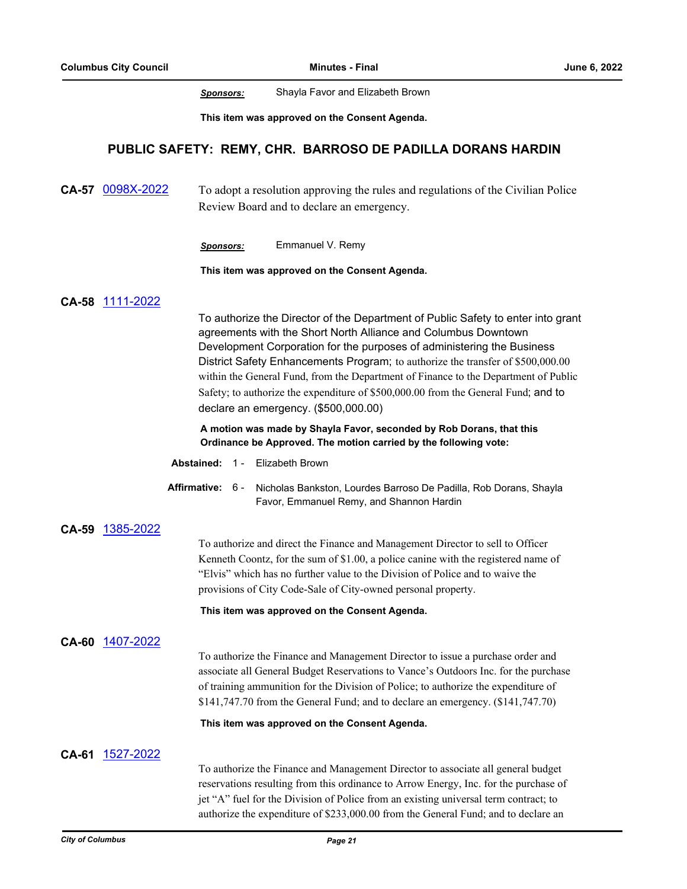*Sponsors:* Shayla Favor and Elizabeth Brown

**This item was approved on the Consent Agenda.**

## **PUBLIC SAFETY: REMY, CHR. BARROSO DE PADILLA DORANS HARDIN**

**CA-57** [0098X-2022](http://columbus.legistar.com/gateway.aspx?m=l&id=/matter.aspx?key=123104) To adopt a resolution approving the rules and regulations of the Civilian Police Review Board and to declare an emergency.

*Sponsors:* Emmanuel V. Remy

**This item was approved on the Consent Agenda.**

#### **CA-58** [1111-2022](http://columbus.legistar.com/gateway.aspx?m=l&id=/matter.aspx?key=122625)

To authorize the Director of the Department of Public Safety to enter into grant agreements with the Short North Alliance and Columbus Downtown Development Corporation for the purposes of administering the Business District Safety Enhancements Program; to authorize the transfer of \$500,000.00 within the General Fund, from the Department of Finance to the Department of Public Safety; to authorize the expenditure of \$500,000.00 from the General Fund; and to declare an emergency. (\$500,000.00)

**A motion was made by Shayla Favor, seconded by Rob Dorans, that this Ordinance be Approved. The motion carried by the following vote:**

| Abstained: |  | Elizabeth Brown |
|------------|--|-----------------|
|------------|--|-----------------|

Affirmative: 6 - Nicholas Bankston, Lourdes Barroso De Padilla, Rob Dorans, Shayla Favor, Emmanuel Remy, and Shannon Hardin

## **CA-59** [1385-2022](http://columbus.legistar.com/gateway.aspx?m=l&id=/matter.aspx?key=122901)

To authorize and direct the Finance and Management Director to sell to Officer Kenneth Coontz, for the sum of \$1.00, a police canine with the registered name of "Elvis" which has no further value to the Division of Police and to waive the provisions of City Code-Sale of City-owned personal property.

**This item was approved on the Consent Agenda.**

#### **CA-60** [1407-2022](http://columbus.legistar.com/gateway.aspx?m=l&id=/matter.aspx?key=122924)

To authorize the Finance and Management Director to issue a purchase order and associate all General Budget Reservations to Vance's Outdoors Inc. for the purchase of training ammunition for the Division of Police; to authorize the expenditure of \$141,747.70 from the General Fund; and to declare an emergency. (\$141,747.70)

**This item was approved on the Consent Agenda.**

#### **CA-61** [1527-2022](http://columbus.legistar.com/gateway.aspx?m=l&id=/matter.aspx?key=123045)

To authorize the Finance and Management Director to associate all general budget reservations resulting from this ordinance to Arrow Energy, Inc. for the purchase of jet "A" fuel for the Division of Police from an existing universal term contract; to authorize the expenditure of \$233,000.00 from the General Fund; and to declare an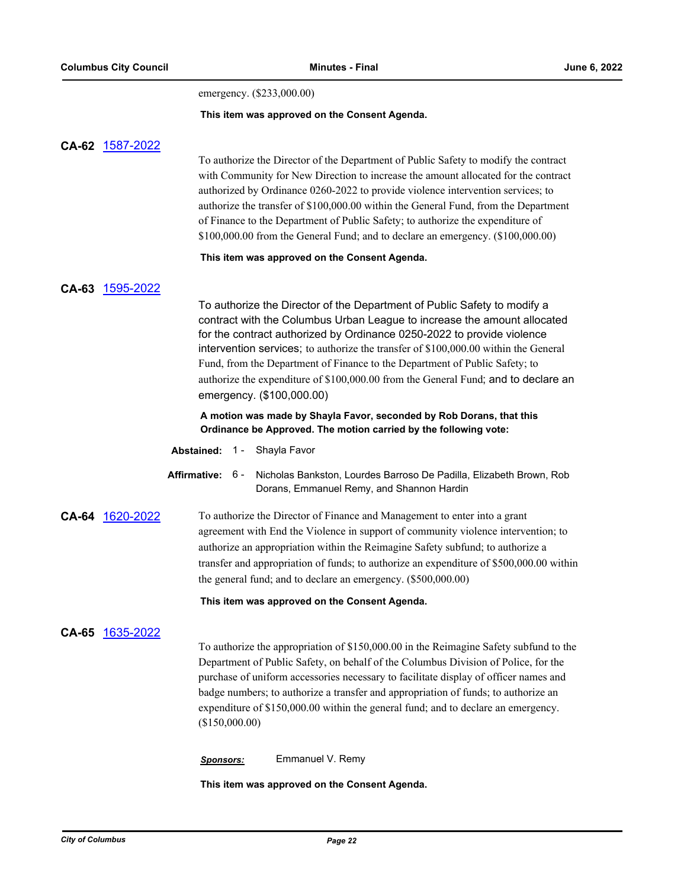emergency. (\$233,000.00)

#### **This item was approved on the Consent Agenda.**

### **CA-62** [1587-2022](http://columbus.legistar.com/gateway.aspx?m=l&id=/matter.aspx?key=123107)

To authorize the Director of the Department of Public Safety to modify the contract with Community for New Direction to increase the amount allocated for the contract authorized by Ordinance 0260-2022 to provide violence intervention services; to authorize the transfer of \$100,000.00 within the General Fund, from the Department of Finance to the Department of Public Safety; to authorize the expenditure of \$100,000.00 from the General Fund; and to declare an emergency. (\$100,000.00)

#### **This item was approved on the Consent Agenda.**

### **CA-63** [1595-2022](http://columbus.legistar.com/gateway.aspx?m=l&id=/matter.aspx?key=123115)

To authorize the Director of the Department of Public Safety to modify a contract with the Columbus Urban League to increase the amount allocated for the contract authorized by Ordinance 0250-2022 to provide violence intervention services; to authorize the transfer of \$100,000.00 within the General Fund, from the Department of Finance to the Department of Public Safety; to authorize the expenditure of \$100,000.00 from the General Fund; and to declare an emergency. (\$100,000.00)

### **A motion was made by Shayla Favor, seconded by Rob Dorans, that this Ordinance be Approved. The motion carried by the following vote:**

**Abstained:** 1 - Shayla Favor

**Affirmative:** Nicholas Bankston, Lourdes Barroso De Padilla, Elizabeth Brown, Rob Dorans, Emmanuel Remy, and Shannon Hardin Affirmative: 6 -

**CA-64** [1620-2022](http://columbus.legistar.com/gateway.aspx?m=l&id=/matter.aspx?key=123140) To authorize the Director of Finance and Management to enter into a grant agreement with End the Violence in support of community violence intervention; to authorize an appropriation within the Reimagine Safety subfund; to authorize a transfer and appropriation of funds; to authorize an expenditure of \$500,000.00 within the general fund; and to declare an emergency. (\$500,000.00)

**This item was approved on the Consent Agenda.**

## **CA-65** [1635-2022](http://columbus.legistar.com/gateway.aspx?m=l&id=/matter.aspx?key=123155)

To authorize the appropriation of \$150,000.00 in the Reimagine Safety subfund to the Department of Public Safety, on behalf of the Columbus Division of Police, for the purchase of uniform accessories necessary to facilitate display of officer names and badge numbers; to authorize a transfer and appropriation of funds; to authorize an expenditure of \$150,000.00 within the general fund; and to declare an emergency. (\$150,000.00)

*Sponsors:* Emmanuel V. Remy

**This item was approved on the Consent Agenda.**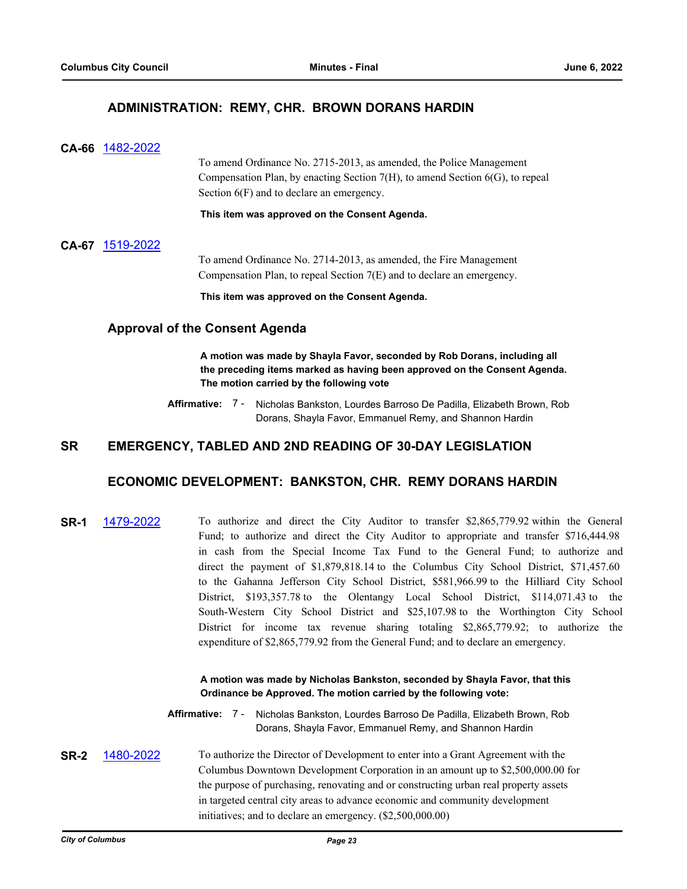## **ADMINISTRATION: REMY, CHR. BROWN DORANS HARDIN**

**CA-66** [1482-2022](http://columbus.legistar.com/gateway.aspx?m=l&id=/matter.aspx?key=123000)

To amend Ordinance No. 2715-2013, as amended, the Police Management Compensation Plan, by enacting Section 7(H), to amend Section 6(G), to repeal Section  $6(F)$  and to declare an emergency.

**This item was approved on the Consent Agenda.**

## **CA-67** [1519-2022](http://columbus.legistar.com/gateway.aspx?m=l&id=/matter.aspx?key=123037)

To amend Ordinance No. 2714-2013, as amended, the Fire Management Compensation Plan, to repeal Section 7(E) and to declare an emergency.

**This item was approved on the Consent Agenda.**

## **Approval of the Consent Agenda**

**A motion was made by Shayla Favor, seconded by Rob Dorans, including all the preceding items marked as having been approved on the Consent Agenda. The motion carried by the following vote**

**Affirmative:** Nicholas Bankston, Lourdes Barroso De Padilla, Elizabeth Brown, Rob Dorans, Shayla Favor, Emmanuel Remy, and Shannon Hardin Affirmative: 7 -

## **SR EMERGENCY, TABLED AND 2ND READING OF 30-DAY LEGISLATION**

## **ECONOMIC DEVELOPMENT: BANKSTON, CHR. REMY DORANS HARDIN**

**SR-1** [1479-2022](http://columbus.legistar.com/gateway.aspx?m=l&id=/matter.aspx?key=122997) To authorize and direct the City Auditor to transfer \$2,865,779.92 within the General Fund; to authorize and direct the City Auditor to appropriate and transfer \$716,444.98 in cash from the Special Income Tax Fund to the General Fund; to authorize and direct the payment of \$1,879,818.14 to the Columbus City School District, \$71,457.60 to the Gahanna Jefferson City School District, \$581,966.99 to the Hilliard City School District, \$193,357.78 to the Olentangy Local School District, \$114,071.43 to the South-Western City School District and \$25,107.98 to the Worthington City School District for income tax revenue sharing totaling \$2,865,779.92; to authorize the expenditure of \$2,865,779.92 from the General Fund; and to declare an emergency.

### **A motion was made by Nicholas Bankston, seconded by Shayla Favor, that this Ordinance be Approved. The motion carried by the following vote:**

- **Affirmative:** Nicholas Bankston, Lourdes Barroso De Padilla, Elizabeth Brown, Rob Dorans, Shayla Favor, Emmanuel Remy, and Shannon Hardin Affirmative: 7 -
- **SR-2** [1480-2022](http://columbus.legistar.com/gateway.aspx?m=l&id=/matter.aspx?key=122998) To authorize the Director of Development to enter into a Grant Agreement with the Columbus Downtown Development Corporation in an amount up to \$2,500,000.00 for the purpose of purchasing, renovating and or constructing urban real property assets in targeted central city areas to advance economic and community development initiatives; and to declare an emergency. (\$2,500,000.00)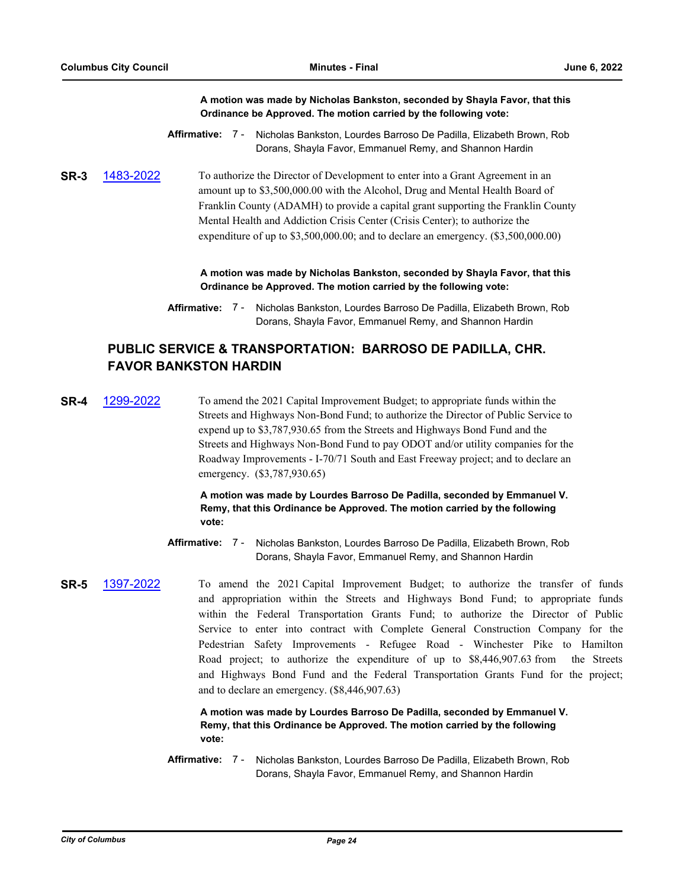**A motion was made by Nicholas Bankston, seconded by Shayla Favor, that this Ordinance be Approved. The motion carried by the following vote:**

Affirmative: 7 - Nicholas Bankston, Lourdes Barroso De Padilla, Elizabeth Brown, Rob Dorans, Shayla Favor, Emmanuel Remy, and Shannon Hardin

**SR-3** [1483-2022](http://columbus.legistar.com/gateway.aspx?m=l&id=/matter.aspx?key=123001) To authorize the Director of Development to enter into a Grant Agreement in an amount up to \$3,500,000.00 with the Alcohol, Drug and Mental Health Board of Franklin County (ADAMH) to provide a capital grant supporting the Franklin County Mental Health and Addiction Crisis Center (Crisis Center); to authorize the expenditure of up to \$3,500,000.00; and to declare an emergency. (\$3,500,000.00)

> **A motion was made by Nicholas Bankston, seconded by Shayla Favor, that this Ordinance be Approved. The motion carried by the following vote:**

## **PUBLIC SERVICE & TRANSPORTATION: BARROSO DE PADILLA, CHR. FAVOR BANKSTON HARDIN**

**SR-4** [1299-2022](http://columbus.legistar.com/gateway.aspx?m=l&id=/matter.aspx?key=122814) To amend the 2021 Capital Improvement Budget; to appropriate funds within the Streets and Highways Non-Bond Fund; to authorize the Director of Public Service to expend up to \$3,787,930.65 from the Streets and Highways Bond Fund and the Streets and Highways Non-Bond Fund to pay ODOT and/or utility companies for the Roadway Improvements - I-70/71 South and East Freeway project; and to declare an emergency. (\$3,787,930.65)

> **A motion was made by Lourdes Barroso De Padilla, seconded by Emmanuel V. Remy, that this Ordinance be Approved. The motion carried by the following vote:**

**Affirmative:** Nicholas Bankston, Lourdes Barroso De Padilla, Elizabeth Brown, Rob Dorans, Shayla Favor, Emmanuel Remy, and Shannon Hardin Affirmative: 7 -

**SR-5** [1397-2022](http://columbus.legistar.com/gateway.aspx?m=l&id=/matter.aspx?key=122914) To amend the 2021 Capital Improvement Budget; to authorize the transfer of funds and appropriation within the Streets and Highways Bond Fund; to appropriate funds within the Federal Transportation Grants Fund; to authorize the Director of Public Service to enter into contract with Complete General Construction Company for the Pedestrian Safety Improvements - Refugee Road - Winchester Pike to Hamilton Road project; to authorize the expenditure of up to \$8,446,907.63 from the Streets and Highways Bond Fund and the Federal Transportation Grants Fund for the project; and to declare an emergency. (\$8,446,907.63)

> **A motion was made by Lourdes Barroso De Padilla, seconded by Emmanuel V. Remy, that this Ordinance be Approved. The motion carried by the following vote:**

**Affirmative:** Nicholas Bankston, Lourdes Barroso De Padilla, Elizabeth Brown, Rob Dorans, Shayla Favor, Emmanuel Remy, and Shannon Hardin Affirmative: 7 -

**Affirmative:** Nicholas Bankston, Lourdes Barroso De Padilla, Elizabeth Brown, Rob Dorans, Shayla Favor, Emmanuel Remy, and Shannon Hardin Affirmative: 7 -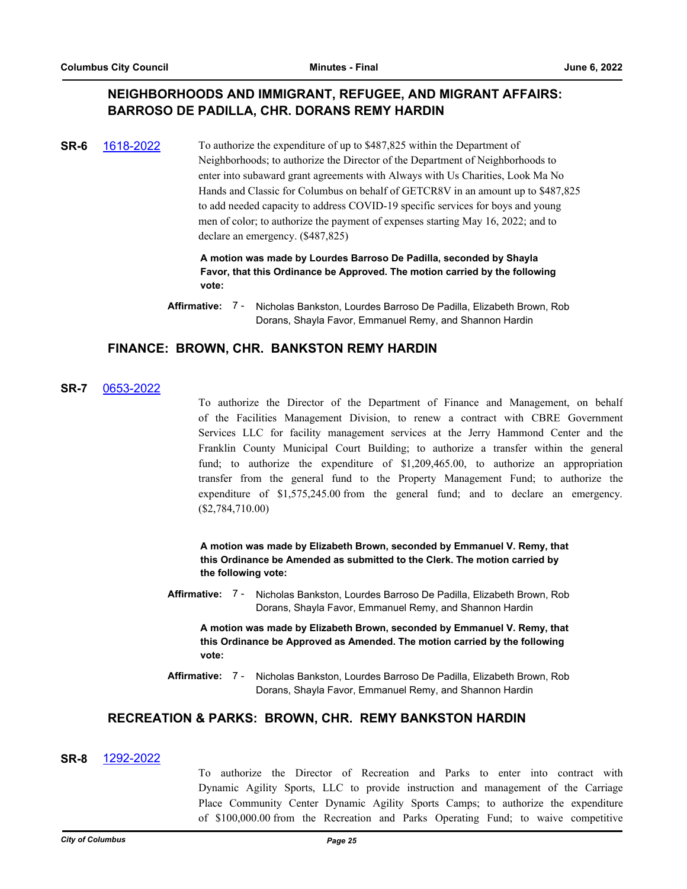## **NEIGHBORHOODS AND IMMIGRANT, REFUGEE, AND MIGRANT AFFAIRS: BARROSO DE PADILLA, CHR. DORANS REMY HARDIN**

**SR-6** [1618-2022](http://columbus.legistar.com/gateway.aspx?m=l&id=/matter.aspx?key=123138) To authorize the expenditure of up to \$487,825 within the Department of Neighborhoods; to authorize the Director of the Department of Neighborhoods to enter into subaward grant agreements with Always with Us Charities, Look Ma No Hands and Classic for Columbus on behalf of GETCR8V in an amount up to \$487,825 to add needed capacity to address COVID-19 specific services for boys and young men of color; to authorize the payment of expenses starting May 16, 2022; and to declare an emergency. (\$487,825)

> **A motion was made by Lourdes Barroso De Padilla, seconded by Shayla Favor, that this Ordinance be Approved. The motion carried by the following vote:**

## **FINANCE: BROWN, CHR. BANKSTON REMY HARDIN**

### **SR-7** [0653-2022](http://columbus.legistar.com/gateway.aspx?m=l&id=/matter.aspx?key=122165)

To authorize the Director of the Department of Finance and Management, on behalf of the Facilities Management Division, to renew a contract with CBRE Government Services LLC for facility management services at the Jerry Hammond Center and the Franklin County Municipal Court Building; to authorize a transfer within the general fund; to authorize the expenditure of \$1,209,465.00, to authorize an appropriation transfer from the general fund to the Property Management Fund; to authorize the expenditure of \$1,575,245.00 from the general fund; and to declare an emergency. (\$2,784,710.00)

**A motion was made by Elizabeth Brown, seconded by Emmanuel V. Remy, that this Ordinance be Amended as submitted to the Clerk. The motion carried by the following vote:**

**Affirmative:** Nicholas Bankston, Lourdes Barroso De Padilla, Elizabeth Brown, Rob Dorans, Shayla Favor, Emmanuel Remy, and Shannon Hardin Affirmative: 7 -

**A motion was made by Elizabeth Brown, seconded by Emmanuel V. Remy, that this Ordinance be Approved as Amended. The motion carried by the following vote:**

**Affirmative:** Nicholas Bankston, Lourdes Barroso De Padilla, Elizabeth Brown, Rob Dorans, Shayla Favor, Emmanuel Remy, and Shannon Hardin Affirmative: 7 -

## **RECREATION & PARKS: BROWN, CHR. REMY BANKSTON HARDIN**

#### **SR-8** [1292-2022](http://columbus.legistar.com/gateway.aspx?m=l&id=/matter.aspx?key=122807)

To authorize the Director of Recreation and Parks to enter into contract with Dynamic Agility Sports, LLC to provide instruction and management of the Carriage Place Community Center Dynamic Agility Sports Camps; to authorize the expenditure of \$100,000.00 from the Recreation and Parks Operating Fund; to waive competitive

**Affirmative:** Nicholas Bankston, Lourdes Barroso De Padilla, Elizabeth Brown, Rob Dorans, Shayla Favor, Emmanuel Remy, and Shannon Hardin Affirmative: 7 -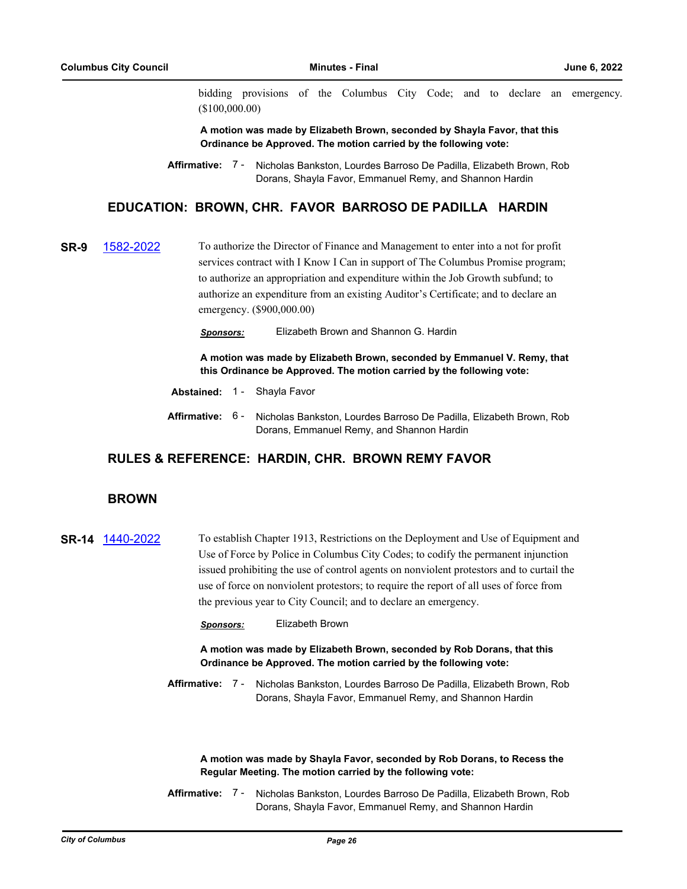bidding provisions of the Columbus City Code; and to declare an emergency. (\$100,000.00)

**A motion was made by Elizabeth Brown, seconded by Shayla Favor, that this Ordinance be Approved. The motion carried by the following vote:**

## **EDUCATION: BROWN, CHR. FAVOR BARROSO DE PADILLA HARDIN**

**SR-9** [1582-2022](http://columbus.legistar.com/gateway.aspx?m=l&id=/matter.aspx?key=123100) To authorize the Director of Finance and Management to enter into a not for profit services contract with I Know I Can in support of The Columbus Promise program; to authorize an appropriation and expenditure within the Job Growth subfund; to authorize an expenditure from an existing Auditor's Certificate; and to declare an emergency. (\$900,000.00)

*Sponsors:* Elizabeth Brown and Shannon G. Hardin

**A motion was made by Elizabeth Brown, seconded by Emmanuel V. Remy, that this Ordinance be Approved. The motion carried by the following vote:**

- **Abstained:** 1 Shayla Favor
- Affirmative: 6 Nicholas Bankston, Lourdes Barroso De Padilla, Elizabeth Brown, Rob Dorans, Emmanuel Remy, and Shannon Hardin

## **RULES & REFERENCE: HARDIN, CHR. BROWN REMY FAVOR**

## **BROWN**

- **SR-14** [1440-2022](http://columbus.legistar.com/gateway.aspx?m=l&id=/matter.aspx?key=122957) To establish Chapter 1913, Restrictions on the Deployment and Use of Equipment and Use of Force by Police in Columbus City Codes; to codify the permanent injunction issued prohibiting the use of control agents on nonviolent protestors and to curtail the use of force on nonviolent protestors; to require the report of all uses of force from the previous year to City Council; and to declare an emergency.
	- *Sponsors:* Elizabeth Brown

**A motion was made by Elizabeth Brown, seconded by Rob Dorans, that this Ordinance be Approved. The motion carried by the following vote:**

**Affirmative:** Nicholas Bankston, Lourdes Barroso De Padilla, Elizabeth Brown, Rob Dorans, Shayla Favor, Emmanuel Remy, and Shannon Hardin Affirmative: 7 -

**A motion was made by Shayla Favor, seconded by Rob Dorans, to Recess the Regular Meeting. The motion carried by the following vote:**

Affirmative: 7 - Nicholas Bankston, Lourdes Barroso De Padilla, Elizabeth Brown, Rob Dorans, Shayla Favor, Emmanuel Remy, and Shannon Hardin

Affirmative: 7 - Nicholas Bankston, Lourdes Barroso De Padilla, Elizabeth Brown, Rob Dorans, Shayla Favor, Emmanuel Remy, and Shannon Hardin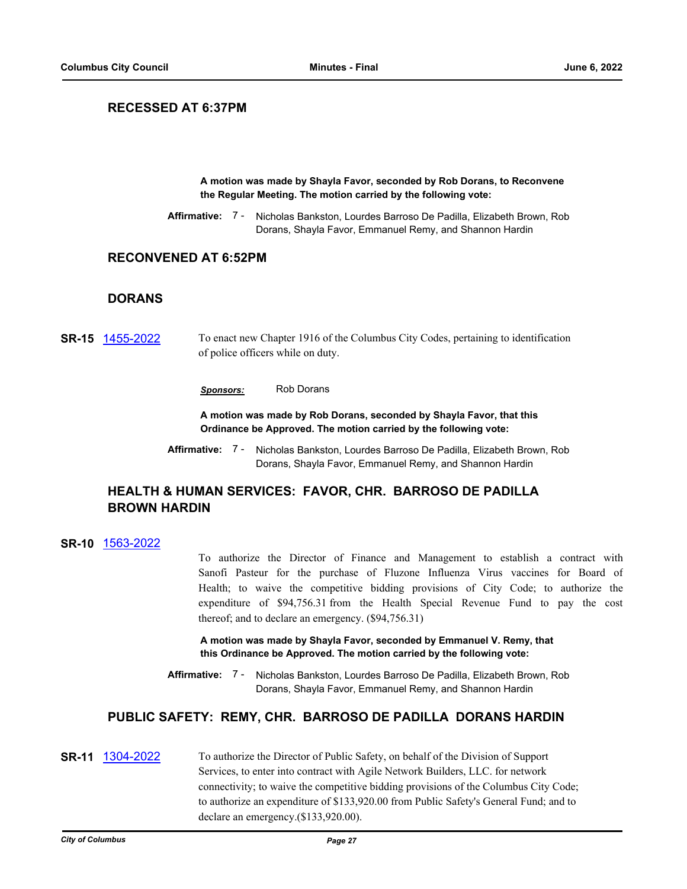## **RECESSED AT 6:37PM**

**A motion was made by Shayla Favor, seconded by Rob Dorans, to Reconvene the Regular Meeting. The motion carried by the following vote:**

Affirmative: 7 - Nicholas Bankston, Lourdes Barroso De Padilla, Elizabeth Brown, Rob Dorans, Shayla Favor, Emmanuel Remy, and Shannon Hardin

## **RECONVENED AT 6:52PM**

## **DORANS**

- **SR-15** [1455-2022](http://columbus.legistar.com/gateway.aspx?m=l&id=/matter.aspx?key=122972) To enact new Chapter 1916 of the Columbus City Codes, pertaining to identification of police officers while on duty.
	- *Sponsors:* Rob Dorans

**A motion was made by Rob Dorans, seconded by Shayla Favor, that this Ordinance be Approved. The motion carried by the following vote:**

**Affirmative:** Nicholas Bankston, Lourdes Barroso De Padilla, Elizabeth Brown, Rob Dorans, Shayla Favor, Emmanuel Remy, and Shannon Hardin Affirmative: 7 -

## **HEALTH & HUMAN SERVICES: FAVOR, CHR. BARROSO DE PADILLA BROWN HARDIN**

## **SR-10** [1563-2022](http://columbus.legistar.com/gateway.aspx?m=l&id=/matter.aspx?key=123081)

To authorize the Director of Finance and Management to establish a contract with Sanofi Pasteur for the purchase of Fluzone Influenza Virus vaccines for Board of Health; to waive the competitive bidding provisions of City Code; to authorize the expenditure of \$94,756.31 from the Health Special Revenue Fund to pay the cost thereof; and to declare an emergency. (\$94,756.31)

**A motion was made by Shayla Favor, seconded by Emmanuel V. Remy, that this Ordinance be Approved. The motion carried by the following vote:**

Affirmative: 7 - Nicholas Bankston, Lourdes Barroso De Padilla, Elizabeth Brown, Rob Dorans, Shayla Favor, Emmanuel Remy, and Shannon Hardin

## **PUBLIC SAFETY: REMY, CHR. BARROSO DE PADILLA DORANS HARDIN**

**SR-11** [1304-2022](http://columbus.legistar.com/gateway.aspx?m=l&id=/matter.aspx?key=122819) To authorize the Director of Public Safety, on behalf of the Division of Support Services, to enter into contract with Agile Network Builders, LLC. for network connectivity; to waive the competitive bidding provisions of the Columbus City Code; to authorize an expenditure of \$133,920.00 from Public Safety's General Fund; and to declare an emergency.(\$133,920.00).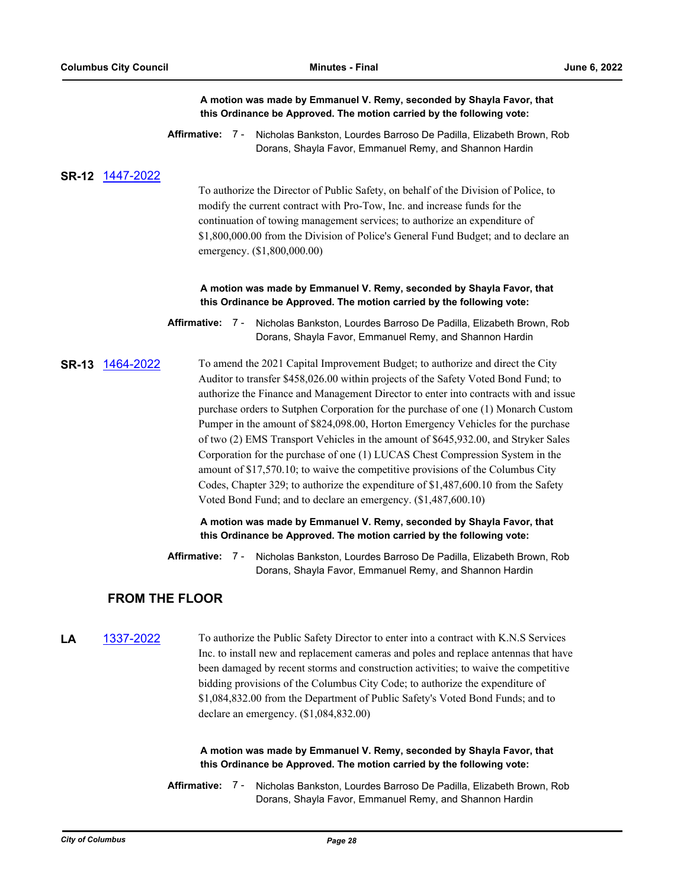|                 | A motion was made by Emmanuel V. Remy, seconded by Shayla Favor, that<br>this Ordinance be Approved. The motion carried by the following vote:                                                                                                                                                                                                                                                                                                                                                                                                                                                                                                                                                                                                                                                                                                          |
|-----------------|---------------------------------------------------------------------------------------------------------------------------------------------------------------------------------------------------------------------------------------------------------------------------------------------------------------------------------------------------------------------------------------------------------------------------------------------------------------------------------------------------------------------------------------------------------------------------------------------------------------------------------------------------------------------------------------------------------------------------------------------------------------------------------------------------------------------------------------------------------|
|                 | Affirmative: 7 - Nicholas Bankston, Lourdes Barroso De Padilla, Elizabeth Brown, Rob<br>Dorans, Shayla Favor, Emmanuel Remy, and Shannon Hardin                                                                                                                                                                                                                                                                                                                                                                                                                                                                                                                                                                                                                                                                                                         |
| SR-12 1447-2022 | To authorize the Director of Public Safety, on behalf of the Division of Police, to<br>modify the current contract with Pro-Tow, Inc. and increase funds for the<br>continuation of towing management services; to authorize an expenditure of<br>\$1,800,000.00 from the Division of Police's General Fund Budget; and to declare an<br>emergency. (\$1,800,000.00)                                                                                                                                                                                                                                                                                                                                                                                                                                                                                    |
|                 | A motion was made by Emmanuel V. Remy, seconded by Shayla Favor, that<br>this Ordinance be Approved. The motion carried by the following vote:                                                                                                                                                                                                                                                                                                                                                                                                                                                                                                                                                                                                                                                                                                          |
|                 | Affirmative: 7 -<br>Nicholas Bankston, Lourdes Barroso De Padilla, Elizabeth Brown, Rob<br>Dorans, Shayla Favor, Emmanuel Remy, and Shannon Hardin                                                                                                                                                                                                                                                                                                                                                                                                                                                                                                                                                                                                                                                                                                      |
| SR-13 1464-2022 | To amend the 2021 Capital Improvement Budget; to authorize and direct the City<br>Auditor to transfer \$458,026.00 within projects of the Safety Voted Bond Fund; to<br>authorize the Finance and Management Director to enter into contracts with and issue<br>purchase orders to Sutphen Corporation for the purchase of one (1) Monarch Custom<br>Pumper in the amount of \$824,098.00, Horton Emergency Vehicles for the purchase<br>of two (2) EMS Transport Vehicles in the amount of \$645,932.00, and Stryker Sales<br>Corporation for the purchase of one (1) LUCAS Chest Compression System in the<br>amount of \$17,570.10; to waive the competitive provisions of the Columbus City<br>Codes, Chapter 329; to authorize the expenditure of \$1,487,600.10 from the Safety<br>Voted Bond Fund; and to declare an emergency. (\$1,487,600.10) |
|                 | A motion was made by Emmanuel V. Remy, seconded by Shayla Favor, that<br>this Ordinance be Approved. The motion carried by the following vote:                                                                                                                                                                                                                                                                                                                                                                                                                                                                                                                                                                                                                                                                                                          |
|                 | Affirmative: 7 -<br>Nicholas Bankston, Lourdes Barroso De Padilla, Elizabeth Brown, Rob<br>Dorans, Shayla Favor, Emmanuel Remy, and Shannon Hardin                                                                                                                                                                                                                                                                                                                                                                                                                                                                                                                                                                                                                                                                                                      |
|                 | EDOM TUE EI OOD                                                                                                                                                                                                                                                                                                                                                                                                                                                                                                                                                                                                                                                                                                                                                                                                                                         |

## **FROM THE FLOOR**

LA [1337-2022](http://columbus.legistar.com/gateway.aspx?m=l&id=/matter.aspx?key=122853) To authorize the Public Safety Director to enter into a contract with K.N.S Services Inc. to install new and replacement cameras and poles and replace antennas that have been damaged by recent storms and construction activities; to waive the competitive bidding provisions of the Columbus City Code; to authorize the expenditure of \$1,084,832.00 from the Department of Public Safety's Voted Bond Funds; and to declare an emergency. (\$1,084,832.00)

#### **A motion was made by Emmanuel V. Remy, seconded by Shayla Favor, that this Ordinance be Approved. The motion carried by the following vote:**

Affirmative: 7 - Nicholas Bankston, Lourdes Barroso De Padilla, Elizabeth Brown, Rob Dorans, Shayla Favor, Emmanuel Remy, and Shannon Hardin